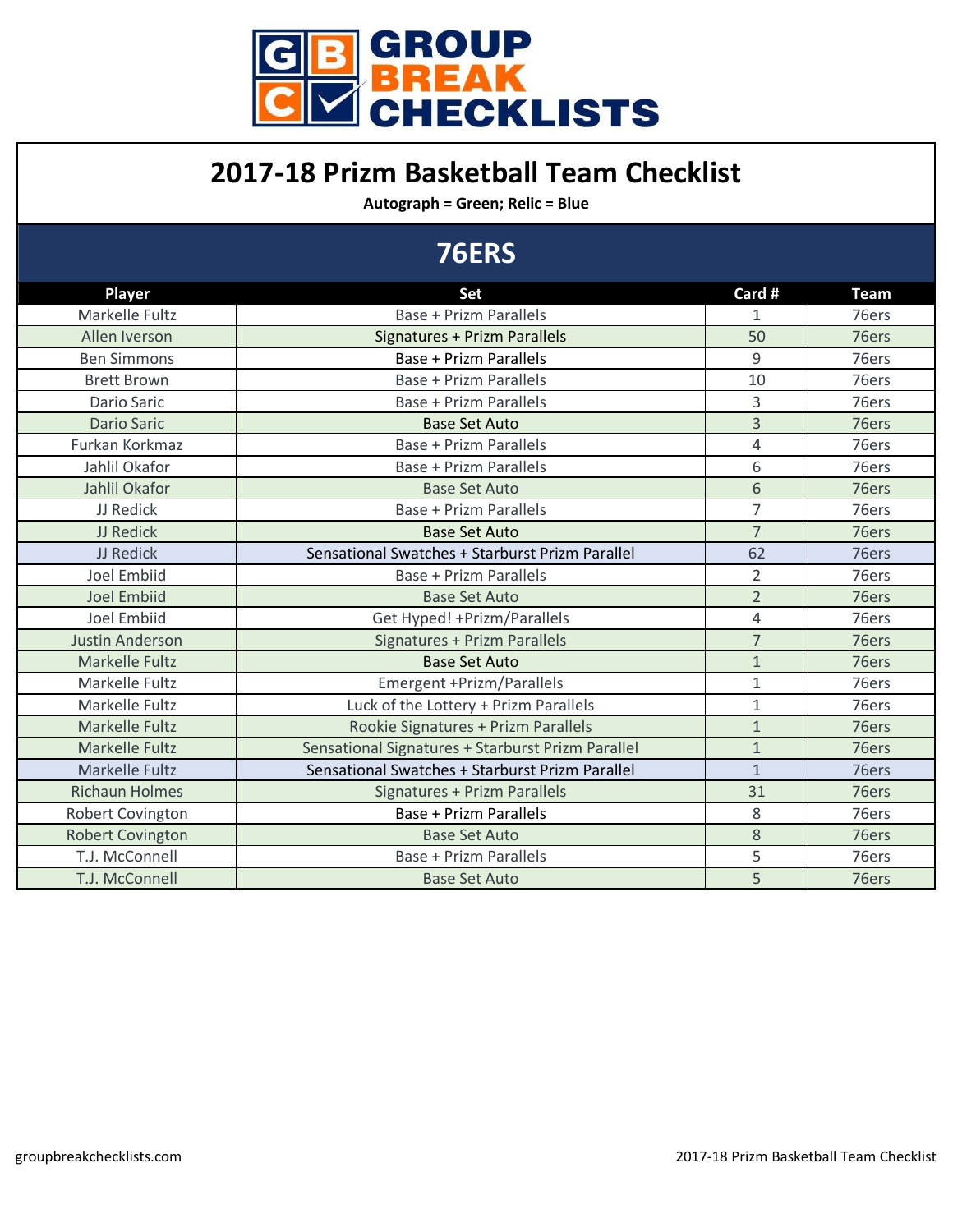

#### **2017-18 Prizm Basketball Team Checklist**

**Autograph = Green; Relic = Blue**

|                         | <b>76ERS</b>                                      |                |             |
|-------------------------|---------------------------------------------------|----------------|-------------|
| <b>Player</b>           | <b>Set</b>                                        | Card #         | <b>Team</b> |
| Markelle Fultz          | <b>Base + Prizm Parallels</b>                     | $\mathbf{1}$   | 76ers       |
| Allen Iverson           | <b>Signatures + Prizm Parallels</b>               | 50             | 76ers       |
| <b>Ben Simmons</b>      | <b>Base + Prizm Parallels</b>                     | 9              | 76ers       |
| <b>Brett Brown</b>      | Base + Prizm Parallels                            | 10             | 76ers       |
| <b>Dario Saric</b>      | <b>Base + Prizm Parallels</b>                     | 3              | 76ers       |
| <b>Dario Saric</b>      | <b>Base Set Auto</b>                              | 3              | 76ers       |
| Furkan Korkmaz          | <b>Base + Prizm Parallels</b>                     | 4              | 76ers       |
| Jahlil Okafor           | Base + Prizm Parallels                            | 6              | 76ers       |
| Jahlil Okafor           | <b>Base Set Auto</b>                              | 6              | 76ers       |
| JJ Redick               | <b>Base + Prizm Parallels</b>                     | $\overline{7}$ | 76ers       |
| JJ Redick               | <b>Base Set Auto</b>                              | $\overline{7}$ | 76ers       |
| JJ Redick               | Sensational Swatches + Starburst Prizm Parallel   | 62             | 76ers       |
| <b>Joel Embiid</b>      | <b>Base + Prizm Parallels</b>                     | $\overline{2}$ | 76ers       |
| <b>Joel Embiid</b>      | <b>Base Set Auto</b>                              | $\overline{2}$ | 76ers       |
| <b>Joel Embiid</b>      | Get Hyped! + Prizm/Parallels                      | $\overline{4}$ | 76ers       |
| <b>Justin Anderson</b>  | Signatures + Prizm Parallels                      | $\overline{7}$ | 76ers       |
| <b>Markelle Fultz</b>   | <b>Base Set Auto</b>                              | $\mathbf{1}$   | 76ers       |
| Markelle Fultz          | Emergent +Prizm/Parallels                         | $\mathbf{1}$   | 76ers       |
| Markelle Fultz          | Luck of the Lottery + Prizm Parallels             | $\mathbf{1}$   | 76ers       |
| <b>Markelle Fultz</b>   | Rookie Signatures + Prizm Parallels               | $\mathbf{1}$   | 76ers       |
| <b>Markelle Fultz</b>   | Sensational Signatures + Starburst Prizm Parallel | $\mathbf{1}$   | 76ers       |
| Markelle Fultz          | Sensational Swatches + Starburst Prizm Parallel   | $\mathbf{1}$   | 76ers       |
| <b>Richaun Holmes</b>   | Signatures + Prizm Parallels                      | 31             | 76ers       |
| Robert Covington        | <b>Base + Prizm Parallels</b>                     | 8              | 76ers       |
| <b>Robert Covington</b> | <b>Base Set Auto</b>                              | 8              | 76ers       |
| T.J. McConnell          | <b>Base + Prizm Parallels</b>                     | 5              | 76ers       |
| T.J. McConnell          | <b>Base Set Auto</b>                              | 5              | 76ers       |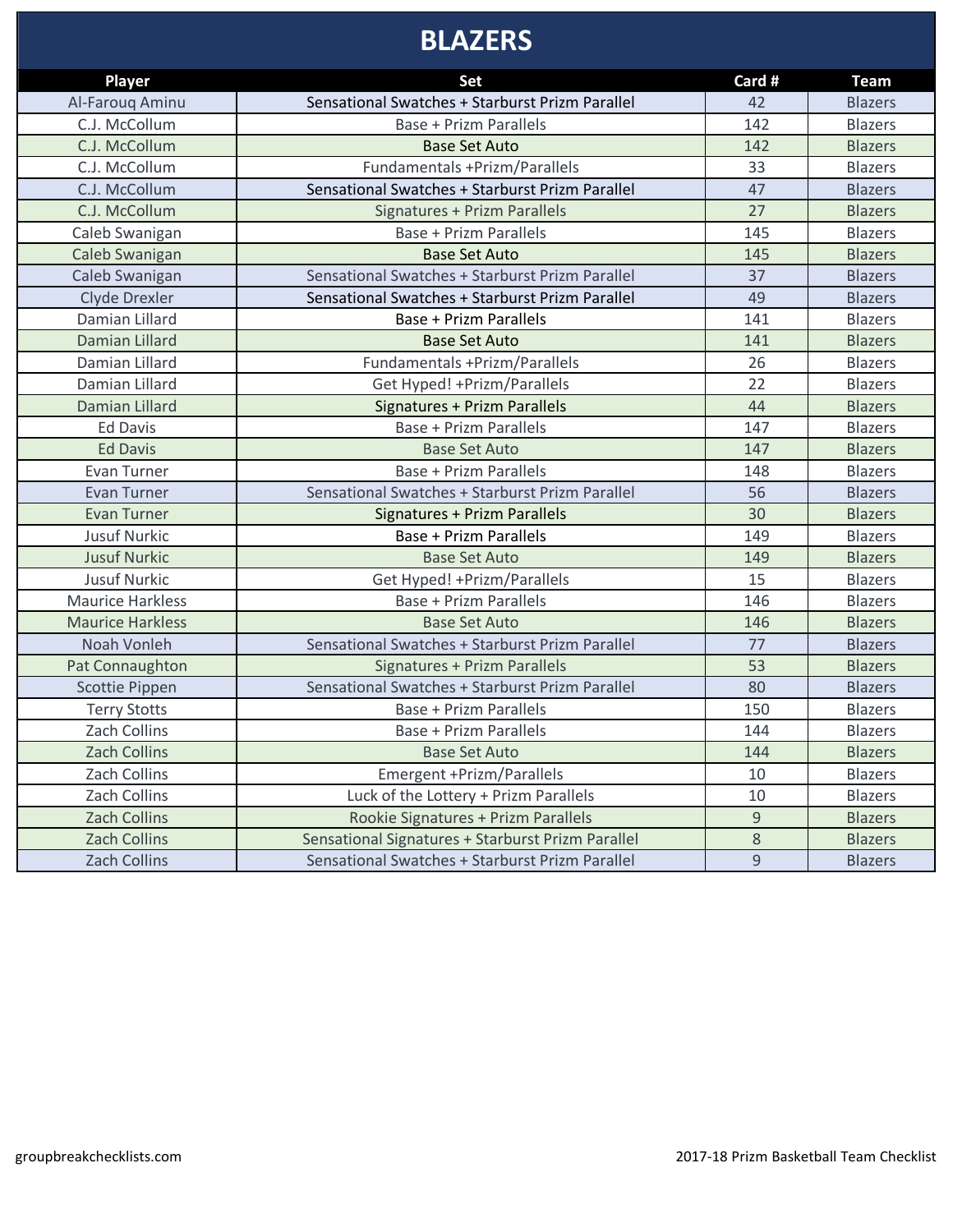# **BLAZERS**

|                                  | Set                                               | Card #      | <b>Team</b>    |
|----------------------------------|---------------------------------------------------|-------------|----------------|
| <b>Player</b>                    | Sensational Swatches + Starburst Prizm Parallel   | 42          |                |
| Al-Farouq Aminu<br>C.J. McCollum | Base + Prizm Parallels                            | 142         | <b>Blazers</b> |
| C.J. McCollum                    |                                                   |             | <b>Blazers</b> |
|                                  | <b>Base Set Auto</b>                              | 142         | <b>Blazers</b> |
| C.J. McCollum                    | Fundamentals +Prizm/Parallels                     | 33          | <b>Blazers</b> |
| C.J. McCollum                    | Sensational Swatches + Starburst Prizm Parallel   | 47          | <b>Blazers</b> |
| C.J. McCollum                    | Signatures + Prizm Parallels                      | 27          | <b>Blazers</b> |
| Caleb Swanigan                   | <b>Base + Prizm Parallels</b>                     | 145         | <b>Blazers</b> |
| Caleb Swanigan                   | <b>Base Set Auto</b>                              | 145         | <b>Blazers</b> |
| Caleb Swanigan                   | Sensational Swatches + Starburst Prizm Parallel   | 37          | <b>Blazers</b> |
| Clyde Drexler                    | Sensational Swatches + Starburst Prizm Parallel   | 49          | <b>Blazers</b> |
| Damian Lillard                   | <b>Base + Prizm Parallels</b>                     | 141         | <b>Blazers</b> |
| Damian Lillard                   | <b>Base Set Auto</b>                              | 141         | <b>Blazers</b> |
| Damian Lillard                   | Fundamentals +Prizm/Parallels                     | 26          | <b>Blazers</b> |
| Damian Lillard                   | Get Hyped! + Prizm/Parallels                      | 22          | <b>Blazers</b> |
| Damian Lillard                   | <b>Signatures + Prizm Parallels</b>               | 44          | <b>Blazers</b> |
| <b>Ed Davis</b>                  | <b>Base + Prizm Parallels</b>                     | 147         | Blazers        |
| <b>Ed Davis</b>                  | <b>Base Set Auto</b>                              | 147         | <b>Blazers</b> |
| Evan Turner                      | <b>Base + Prizm Parallels</b>                     | 148         | <b>Blazers</b> |
| Evan Turner                      | Sensational Swatches + Starburst Prizm Parallel   | 56          | <b>Blazers</b> |
| <b>Evan Turner</b>               | <b>Signatures + Prizm Parallels</b>               | 30          | <b>Blazers</b> |
| <b>Jusuf Nurkic</b>              | <b>Base + Prizm Parallels</b>                     | 149         | <b>Blazers</b> |
| <b>Jusuf Nurkic</b>              | <b>Base Set Auto</b>                              | 149         | <b>Blazers</b> |
| <b>Jusuf Nurkic</b>              | Get Hyped! + Prizm/Parallels                      | 15          | <b>Blazers</b> |
| <b>Maurice Harkless</b>          | <b>Base + Prizm Parallels</b>                     | 146         | <b>Blazers</b> |
| <b>Maurice Harkless</b>          | <b>Base Set Auto</b>                              | 146         | <b>Blazers</b> |
| Noah Vonleh                      | Sensational Swatches + Starburst Prizm Parallel   | 77          | <b>Blazers</b> |
| Pat Connaughton                  | <b>Signatures + Prizm Parallels</b>               | 53          | <b>Blazers</b> |
| Scottie Pippen                   | Sensational Swatches + Starburst Prizm Parallel   | 80          | <b>Blazers</b> |
| <b>Terry Stotts</b>              | <b>Base + Prizm Parallels</b>                     | 150         | <b>Blazers</b> |
| Zach Collins                     | <b>Base + Prizm Parallels</b>                     | 144         | <b>Blazers</b> |
| Zach Collins                     | <b>Base Set Auto</b>                              | 144         | <b>Blazers</b> |
| Zach Collins                     | Emergent +Prizm/Parallels                         | 10          | <b>Blazers</b> |
| Zach Collins                     | Luck of the Lottery + Prizm Parallels             | 10          | <b>Blazers</b> |
| Zach Collins                     | Rookie Signatures + Prizm Parallels               | $\mathsf g$ | <b>Blazers</b> |
| <b>Zach Collins</b>              | Sensational Signatures + Starburst Prizm Parallel | 8           | <b>Blazers</b> |
| Zach Collins                     | Sensational Swatches + Starburst Prizm Parallel   | $9\,$       | <b>Blazers</b> |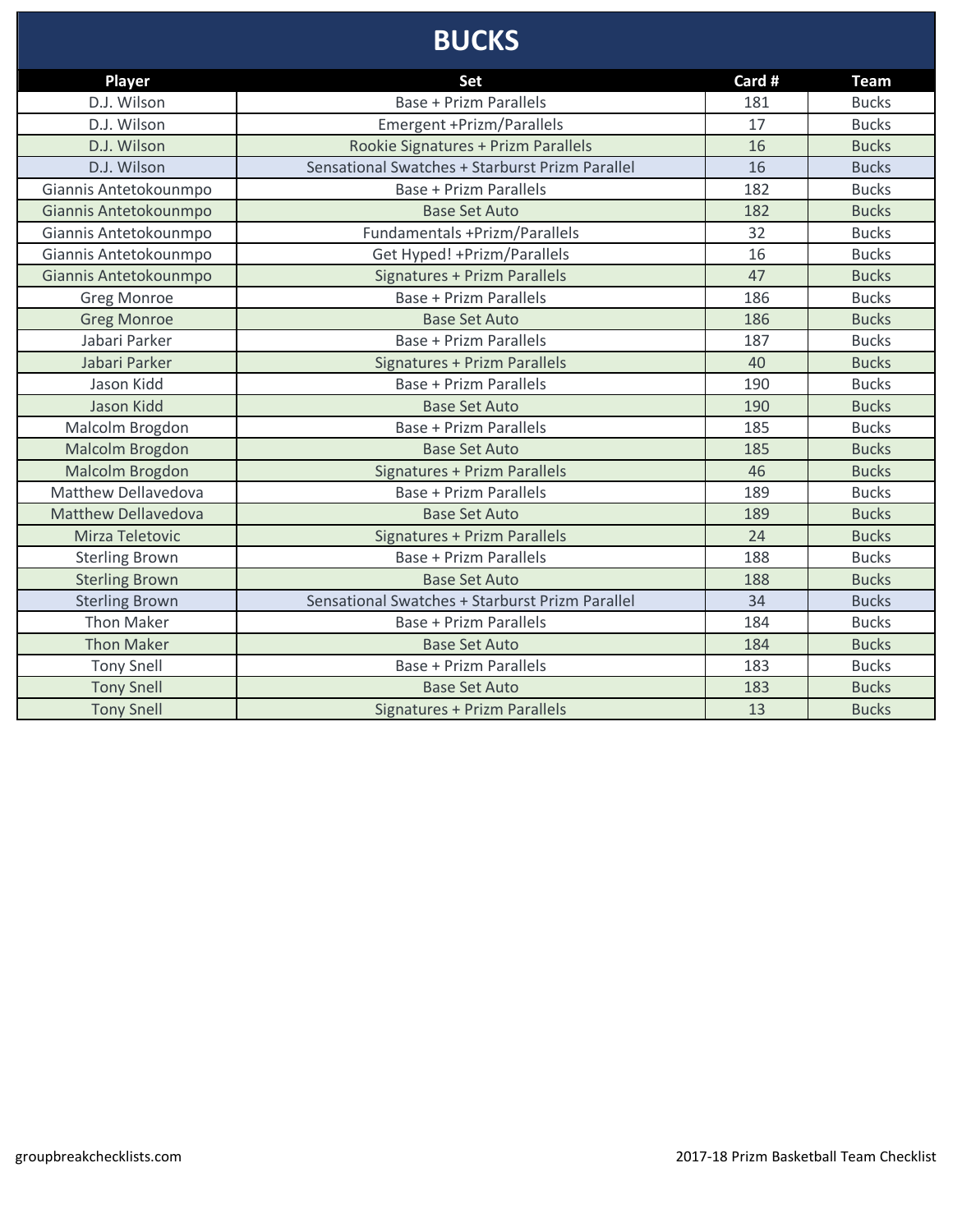### **BUCKS**

| Player                     | <b>Set</b>                                      | Card # | <b>Team</b>  |
|----------------------------|-------------------------------------------------|--------|--------------|
| D.J. Wilson                | <b>Base + Prizm Parallels</b>                   | 181    | <b>Bucks</b> |
| D.J. Wilson                | Emergent +Prizm/Parallels                       | 17     | <b>Bucks</b> |
| D.J. Wilson                | Rookie Signatures + Prizm Parallels             | 16     | <b>Bucks</b> |
| D.J. Wilson                | Sensational Swatches + Starburst Prizm Parallel | 16     | <b>Bucks</b> |
| Giannis Antetokounmpo      | <b>Base + Prizm Parallels</b>                   | 182    | <b>Bucks</b> |
| Giannis Antetokounmpo      | <b>Base Set Auto</b>                            | 182    | <b>Bucks</b> |
| Giannis Antetokounmpo      | Fundamentals +Prizm/Parallels                   | 32     | <b>Bucks</b> |
| Giannis Antetokounmpo      | Get Hyped! + Prizm/Parallels                    | 16     | <b>Bucks</b> |
| Giannis Antetokounmpo      | <b>Signatures + Prizm Parallels</b>             | 47     | <b>Bucks</b> |
| <b>Greg Monroe</b>         | <b>Base + Prizm Parallels</b>                   | 186    | <b>Bucks</b> |
| <b>Greg Monroe</b>         | <b>Base Set Auto</b>                            | 186    | <b>Bucks</b> |
| Jabari Parker              | Base + Prizm Parallels                          | 187    | <b>Bucks</b> |
| Jabari Parker              | <b>Signatures + Prizm Parallels</b>             | 40     | <b>Bucks</b> |
| Jason Kidd                 | <b>Base + Prizm Parallels</b>                   | 190    | <b>Bucks</b> |
| Jason Kidd                 | <b>Base Set Auto</b>                            | 190    | <b>Bucks</b> |
| Malcolm Brogdon            | <b>Base + Prizm Parallels</b>                   | 185    | <b>Bucks</b> |
| Malcolm Brogdon            | <b>Base Set Auto</b>                            | 185    | <b>Bucks</b> |
| Malcolm Brogdon            | <b>Signatures + Prizm Parallels</b>             | 46     | <b>Bucks</b> |
| <b>Matthew Dellavedova</b> | <b>Base + Prizm Parallels</b>                   | 189    | <b>Bucks</b> |
| <b>Matthew Dellavedova</b> | <b>Base Set Auto</b>                            | 189    | <b>Bucks</b> |
| Mirza Teletovic            | Signatures + Prizm Parallels                    | 24     | <b>Bucks</b> |
| <b>Sterling Brown</b>      | <b>Base + Prizm Parallels</b>                   | 188    | <b>Bucks</b> |
| <b>Sterling Brown</b>      | <b>Base Set Auto</b>                            | 188    | <b>Bucks</b> |
| <b>Sterling Brown</b>      | Sensational Swatches + Starburst Prizm Parallel | 34     | <b>Bucks</b> |
| <b>Thon Maker</b>          | <b>Base + Prizm Parallels</b>                   | 184    | <b>Bucks</b> |
| <b>Thon Maker</b>          | <b>Base Set Auto</b>                            | 184    | <b>Bucks</b> |
| <b>Tony Snell</b>          | <b>Base + Prizm Parallels</b>                   | 183    | <b>Bucks</b> |
| <b>Tony Snell</b>          | <b>Base Set Auto</b>                            | 183    | <b>Bucks</b> |
| <b>Tony Snell</b>          | <b>Signatures + Prizm Parallels</b>             | 13     | <b>Bucks</b> |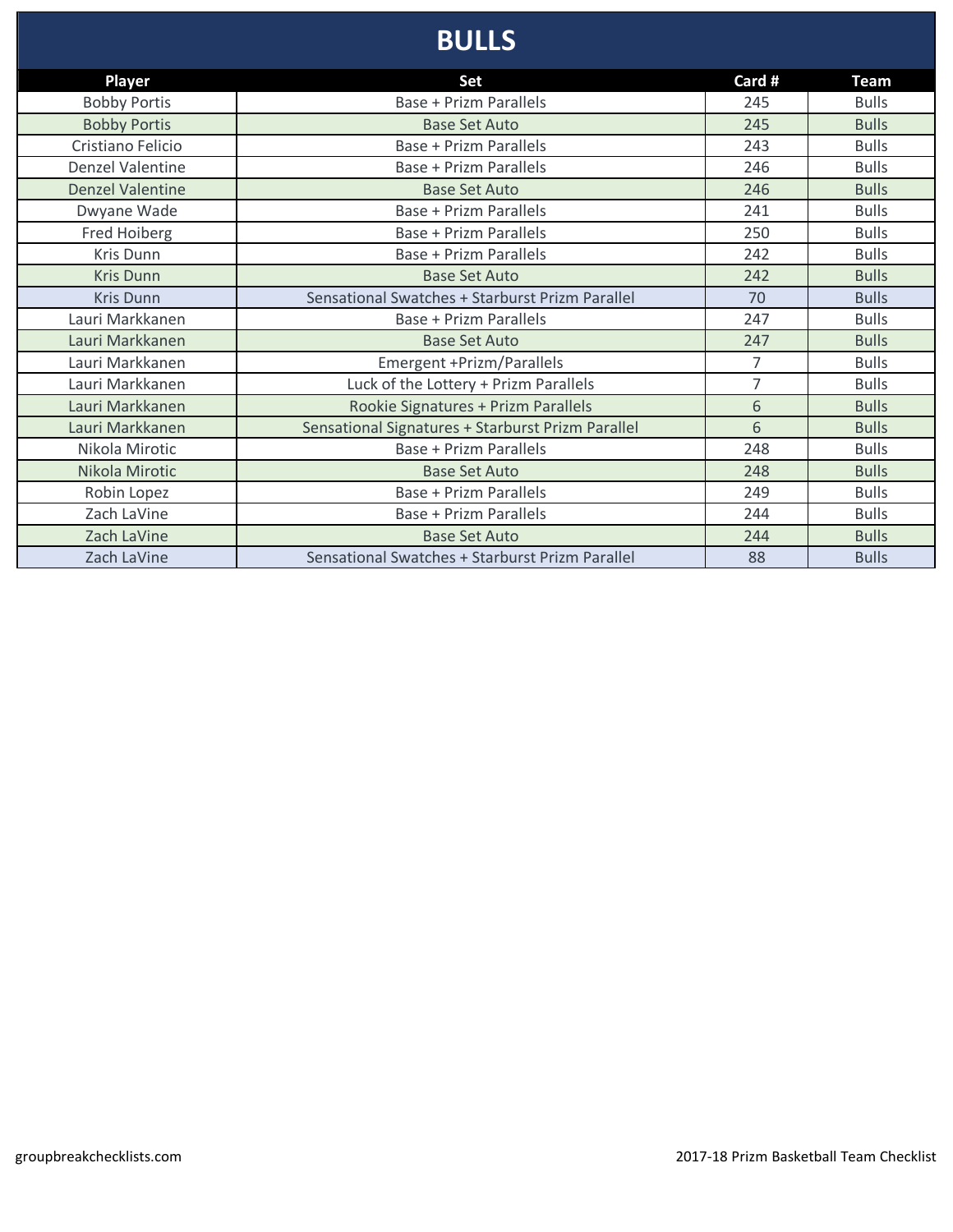# **BULLS**

| <b>Player</b>           | Set                                               | Card # | <b>Team</b>  |
|-------------------------|---------------------------------------------------|--------|--------------|
| <b>Bobby Portis</b>     | <b>Base + Prizm Parallels</b>                     | 245    | <b>Bulls</b> |
| <b>Bobby Portis</b>     | <b>Base Set Auto</b>                              | 245    | <b>Bulls</b> |
| Cristiano Felicio       | <b>Base + Prizm Parallels</b>                     | 243    | <b>Bulls</b> |
| <b>Denzel Valentine</b> | <b>Base + Prizm Parallels</b>                     | 246    | <b>Bulls</b> |
| <b>Denzel Valentine</b> | <b>Base Set Auto</b>                              | 246    | <b>Bulls</b> |
| Dwyane Wade             | Base + Prizm Parallels                            | 241    | <b>Bulls</b> |
| <b>Fred Hoiberg</b>     | <b>Base + Prizm Parallels</b>                     | 250    | <b>Bulls</b> |
| Kris Dunn               | <b>Base + Prizm Parallels</b>                     | 242    | <b>Bulls</b> |
| <b>Kris Dunn</b>        | <b>Base Set Auto</b>                              | 242    | <b>Bulls</b> |
| <b>Kris Dunn</b>        | Sensational Swatches + Starburst Prizm Parallel   | 70     | <b>Bulls</b> |
| Lauri Markkanen         | <b>Base + Prizm Parallels</b>                     | 247    | <b>Bulls</b> |
| Lauri Markkanen         | <b>Base Set Auto</b>                              | 247    | <b>Bulls</b> |
| Lauri Markkanen         | Emergent +Prizm/Parallels                         | 7      | <b>Bulls</b> |
| Lauri Markkanen         | Luck of the Lottery + Prizm Parallels             | 7      | <b>Bulls</b> |
| Lauri Markkanen         | Rookie Signatures + Prizm Parallels               | 6      | <b>Bulls</b> |
| Lauri Markkanen         | Sensational Signatures + Starburst Prizm Parallel | 6      | <b>Bulls</b> |
| Nikola Mirotic          | <b>Base + Prizm Parallels</b>                     | 248    | <b>Bulls</b> |
| Nikola Mirotic          | <b>Base Set Auto</b>                              | 248    | <b>Bulls</b> |
| Robin Lopez             | <b>Base + Prizm Parallels</b>                     | 249    | <b>Bulls</b> |
| Zach LaVine             | <b>Base + Prizm Parallels</b>                     | 244    | <b>Bulls</b> |
| Zach LaVine             | <b>Base Set Auto</b>                              | 244    | <b>Bulls</b> |
| Zach LaVine             | Sensational Swatches + Starburst Prizm Parallel   | 88     | <b>Bulls</b> |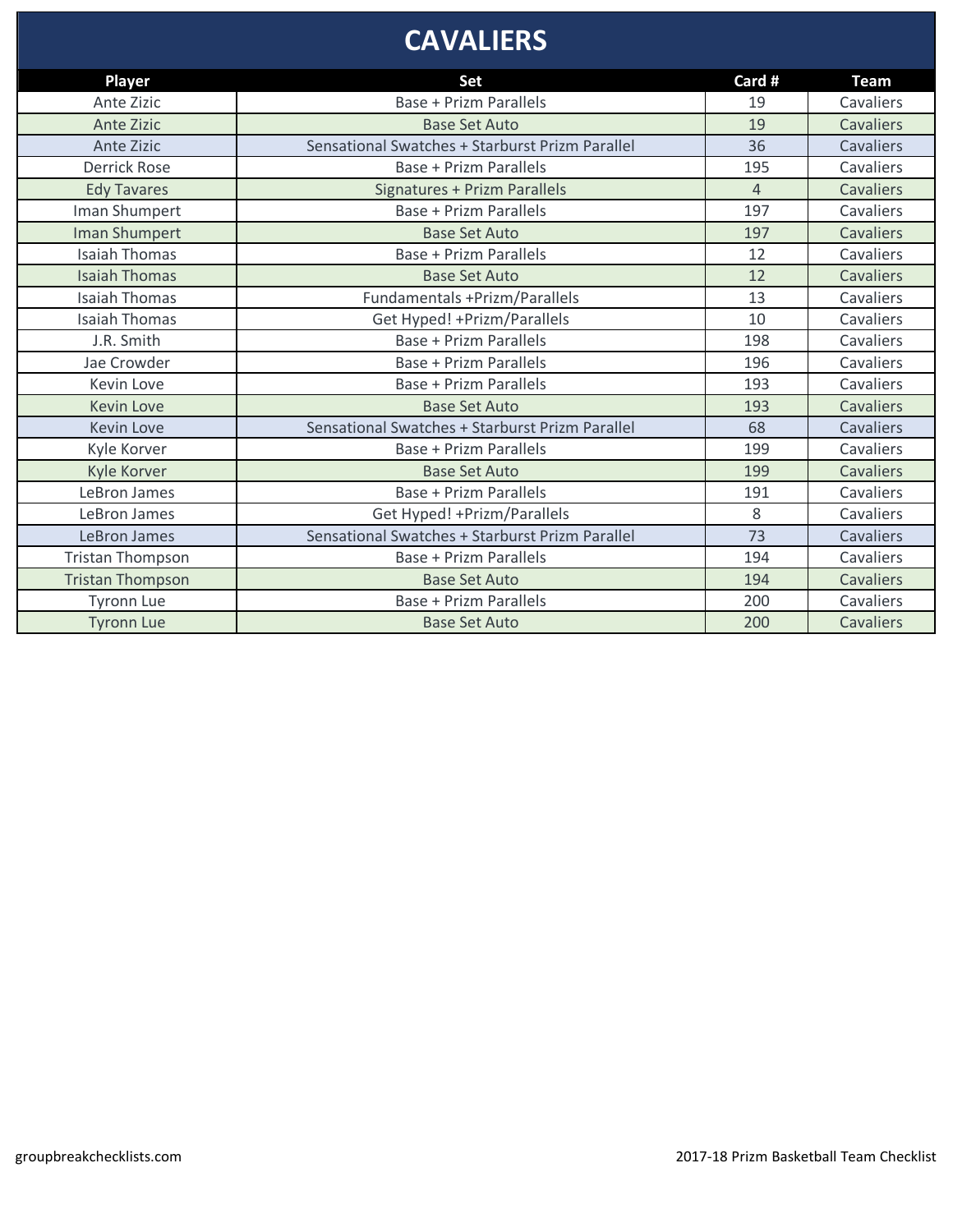### **CAVALIERS**

| Player                  | Set                                             | Card #         | <b>Team</b>      |
|-------------------------|-------------------------------------------------|----------------|------------------|
| Ante Zizic              | Base + Prizm Parallels                          | 19             | Cavaliers        |
| <b>Ante Zizic</b>       | <b>Base Set Auto</b>                            | 19             | Cavaliers        |
| Ante Zizic              | Sensational Swatches + Starburst Prizm Parallel | 36             | Cavaliers        |
| <b>Derrick Rose</b>     | Base + Prizm Parallels                          | 195            | Cavaliers        |
| <b>Edy Tavares</b>      | Signatures + Prizm Parallels                    | $\overline{4}$ | Cavaliers        |
| Iman Shumpert           | Base + Prizm Parallels                          | 197            | Cavaliers        |
| Iman Shumpert           | <b>Base Set Auto</b>                            | 197            | Cavaliers        |
| <b>Isaiah Thomas</b>    | Base + Prizm Parallels                          | 12             | Cavaliers        |
| <b>Isaiah Thomas</b>    | <b>Base Set Auto</b>                            | 12             | Cavaliers        |
| <b>Isaiah Thomas</b>    | Fundamentals +Prizm/Parallels                   | 13             | Cavaliers        |
| <b>Isaiah Thomas</b>    | Get Hyped! + Prizm/Parallels                    | 10             | Cavaliers        |
| J.R. Smith              | <b>Base + Prizm Parallels</b>                   | 198            | Cavaliers        |
| Jae Crowder             | <b>Base + Prizm Parallels</b>                   | 196            | Cavaliers        |
| Kevin Love              | Base + Prizm Parallels                          | 193            | Cavaliers        |
| <b>Kevin Love</b>       | <b>Base Set Auto</b>                            | 193            | Cavaliers        |
| <b>Kevin Love</b>       | Sensational Swatches + Starburst Prizm Parallel | 68             | Cavaliers        |
| Kyle Korver             | Base + Prizm Parallels                          | 199            | Cavaliers        |
| Kyle Korver             | <b>Base Set Auto</b>                            | 199            | <b>Cavaliers</b> |
| LeBron James            | Base + Prizm Parallels                          | 191            | Cavaliers        |
| LeBron James            | Get Hyped! + Prizm/Parallels                    | 8              | Cavaliers        |
| LeBron James            | Sensational Swatches + Starburst Prizm Parallel | 73             | Cavaliers        |
| <b>Tristan Thompson</b> | <b>Base + Prizm Parallels</b>                   | 194            | Cavaliers        |
| <b>Tristan Thompson</b> | <b>Base Set Auto</b>                            | 194            | Cavaliers        |
| <b>Tyronn Lue</b>       | Base + Prizm Parallels                          | 200            | Cavaliers        |
| <b>Tyronn Lue</b>       | <b>Base Set Auto</b>                            | 200            | Cavaliers        |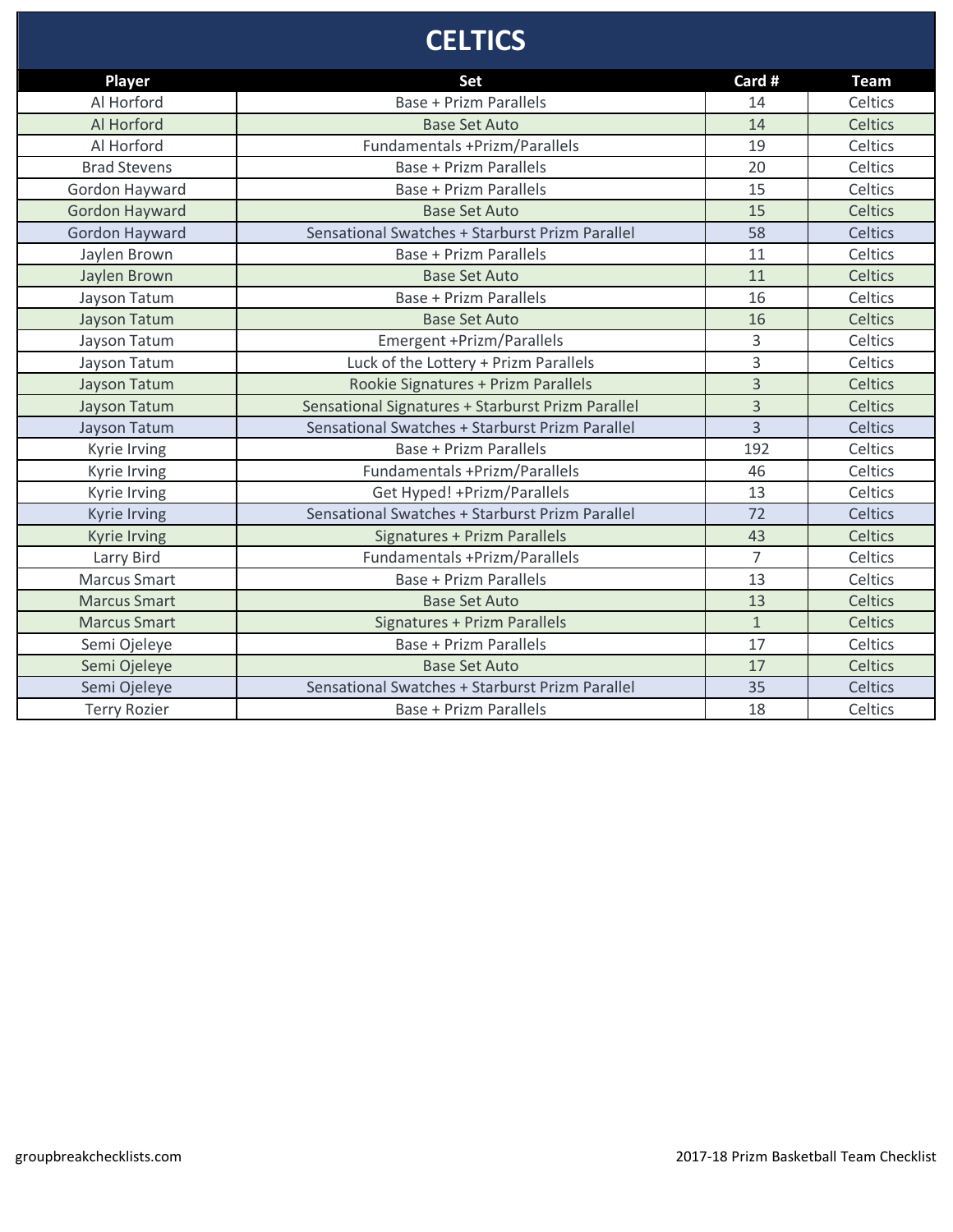# **CELTICS**

| <b>Player</b>         | <b>Set</b>                                        | Card #         | <b>Team</b> |
|-----------------------|---------------------------------------------------|----------------|-------------|
| Al Horford            | <b>Base + Prizm Parallels</b>                     | 14             | Celtics     |
| Al Horford            | <b>Base Set Auto</b>                              | 14             | Celtics     |
| Al Horford            | Fundamentals +Prizm/Parallels                     | 19             | Celtics     |
| <b>Brad Stevens</b>   | <b>Base + Prizm Parallels</b>                     | 20             | Celtics     |
| Gordon Hayward        | <b>Base + Prizm Parallels</b>                     | 15             | Celtics     |
| <b>Gordon Hayward</b> | <b>Base Set Auto</b>                              | 15             | Celtics     |
| Gordon Hayward        | Sensational Swatches + Starburst Prizm Parallel   | 58             | Celtics     |
| Jaylen Brown          | <b>Base + Prizm Parallels</b>                     | 11             | Celtics     |
| Jaylen Brown          | <b>Base Set Auto</b>                              | 11             | Celtics     |
| Jayson Tatum          | <b>Base + Prizm Parallels</b>                     | 16             | Celtics     |
| <b>Jayson Tatum</b>   | <b>Base Set Auto</b>                              | 16             | Celtics     |
| Jayson Tatum          | Emergent +Prizm/Parallels                         | 3              | Celtics     |
| Jayson Tatum          | Luck of the Lottery + Prizm Parallels             | 3              | Celtics     |
| <b>Jayson Tatum</b>   | Rookie Signatures + Prizm Parallels               | $\overline{3}$ | Celtics     |
| <b>Jayson Tatum</b>   | Sensational Signatures + Starburst Prizm Parallel | 3              | Celtics     |
| Jayson Tatum          | Sensational Swatches + Starburst Prizm Parallel   | $\overline{3}$ | Celtics     |
| Kyrie Irving          | <b>Base + Prizm Parallels</b>                     | 192            | Celtics     |
| Kyrie Irving          | Fundamentals +Prizm/Parallels                     | 46             | Celtics     |
| Kyrie Irving          | Get Hyped! + Prizm/Parallels                      | 13             | Celtics     |
| Kyrie Irving          | Sensational Swatches + Starburst Prizm Parallel   | 72             | Celtics     |
| <b>Kyrie Irving</b>   | <b>Signatures + Prizm Parallels</b>               | 43             | Celtics     |
| Larry Bird            | <b>Fundamentals +Prizm/Parallels</b>              | $\overline{7}$ | Celtics     |
| <b>Marcus Smart</b>   | <b>Base + Prizm Parallels</b>                     | 13             | Celtics     |
| <b>Marcus Smart</b>   | <b>Base Set Auto</b>                              | 13             | Celtics     |
| <b>Marcus Smart</b>   | Signatures + Prizm Parallels                      | $\mathbf{1}$   | Celtics     |
| Semi Ojeleye          | <b>Base + Prizm Parallels</b>                     | 17             | Celtics     |
| Semi Ojeleye          | <b>Base Set Auto</b>                              | 17             | Celtics     |
| Semi Ojeleye          | Sensational Swatches + Starburst Prizm Parallel   | 35             | Celtics     |
| <b>Terry Rozier</b>   | <b>Base + Prizm Parallels</b>                     | 18             | Celtics     |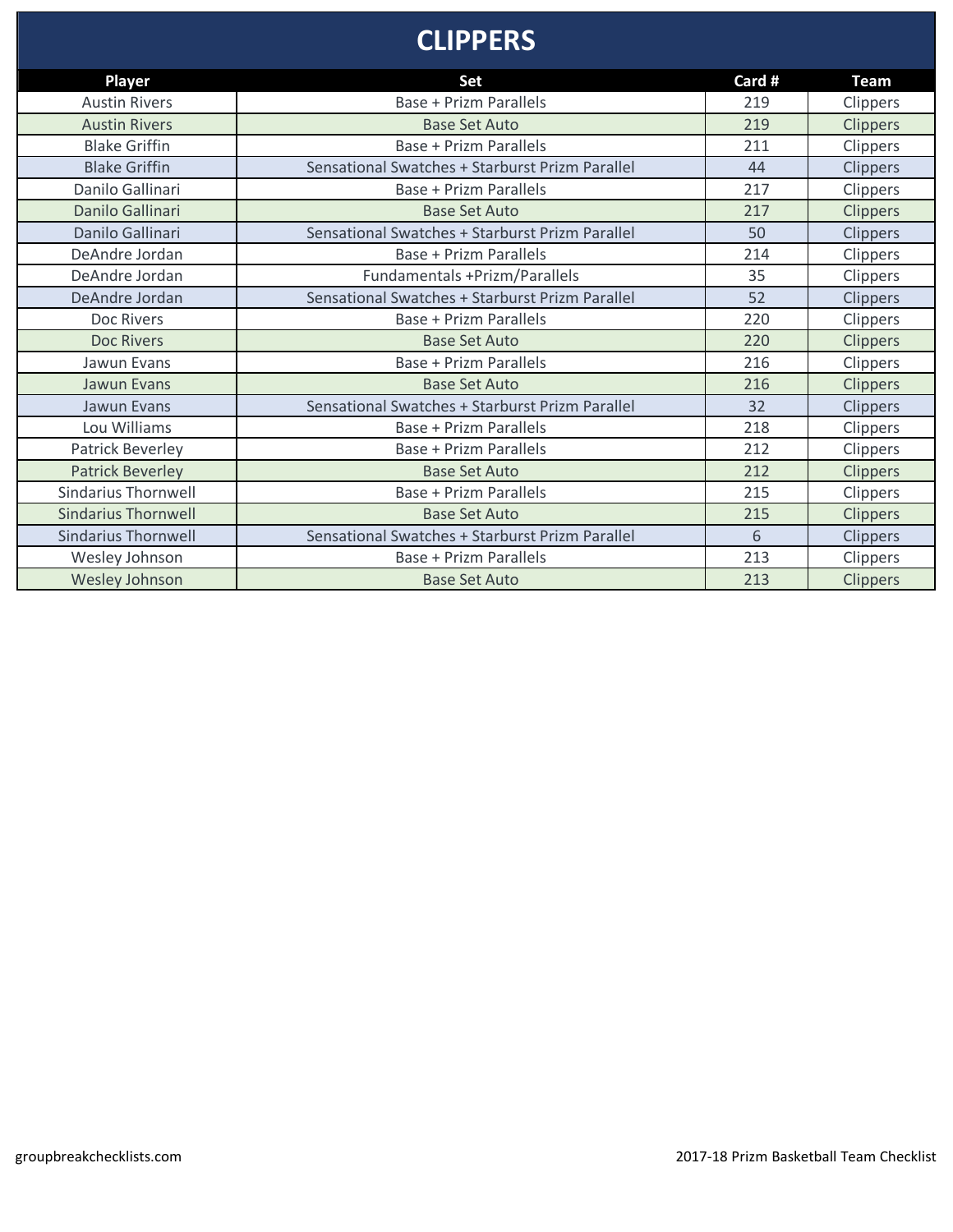#### **CLIPPERS**

| <b>Player</b>              | Set                                             | Card # | <b>Team</b>     |
|----------------------------|-------------------------------------------------|--------|-----------------|
| <b>Austin Rivers</b>       | <b>Base + Prizm Parallels</b>                   | 219    | Clippers        |
| <b>Austin Rivers</b>       | <b>Base Set Auto</b>                            | 219    | Clippers        |
| <b>Blake Griffin</b>       | <b>Base + Prizm Parallels</b>                   | 211    | Clippers        |
| <b>Blake Griffin</b>       | Sensational Swatches + Starburst Prizm Parallel | 44     | <b>Clippers</b> |
| Danilo Gallinari           | Base + Prizm Parallels                          | 217    | Clippers        |
| Danilo Gallinari           | <b>Base Set Auto</b>                            | 217    | <b>Clippers</b> |
| Danilo Gallinari           | Sensational Swatches + Starburst Prizm Parallel | 50     | <b>Clippers</b> |
| DeAndre Jordan             | <b>Base + Prizm Parallels</b>                   | 214    | Clippers        |
| DeAndre Jordan             | Fundamentals +Prizm/Parallels                   | 35     | Clippers        |
| DeAndre Jordan             | Sensational Swatches + Starburst Prizm Parallel | 52     | Clippers        |
| Doc Rivers                 | Base + Prizm Parallels                          | 220    | Clippers        |
| <b>Doc Rivers</b>          | <b>Base Set Auto</b>                            | 220    | Clippers        |
| Jawun Evans                | <b>Base + Prizm Parallels</b>                   | 216    | Clippers        |
| <b>Jawun Evans</b>         | <b>Base Set Auto</b>                            | 216    | <b>Clippers</b> |
| Jawun Evans                | Sensational Swatches + Starburst Prizm Parallel | 32     | Clippers        |
| Lou Williams               | Base + Prizm Parallels                          | 218    | <b>Clippers</b> |
| Patrick Beverley           | Base + Prizm Parallels                          | 212    | Clippers        |
| <b>Patrick Beverley</b>    | <b>Base Set Auto</b>                            | 212    | Clippers        |
| <b>Sindarius Thornwell</b> | Base + Prizm Parallels                          | 215    | Clippers        |
| <b>Sindarius Thornwell</b> | <b>Base Set Auto</b>                            | 215    | Clippers        |
| <b>Sindarius Thornwell</b> | Sensational Swatches + Starburst Prizm Parallel | 6      | Clippers        |
| Wesley Johnson             | Base + Prizm Parallels                          | 213    | Clippers        |
| Wesley Johnson             | <b>Base Set Auto</b>                            | 213    | Clippers        |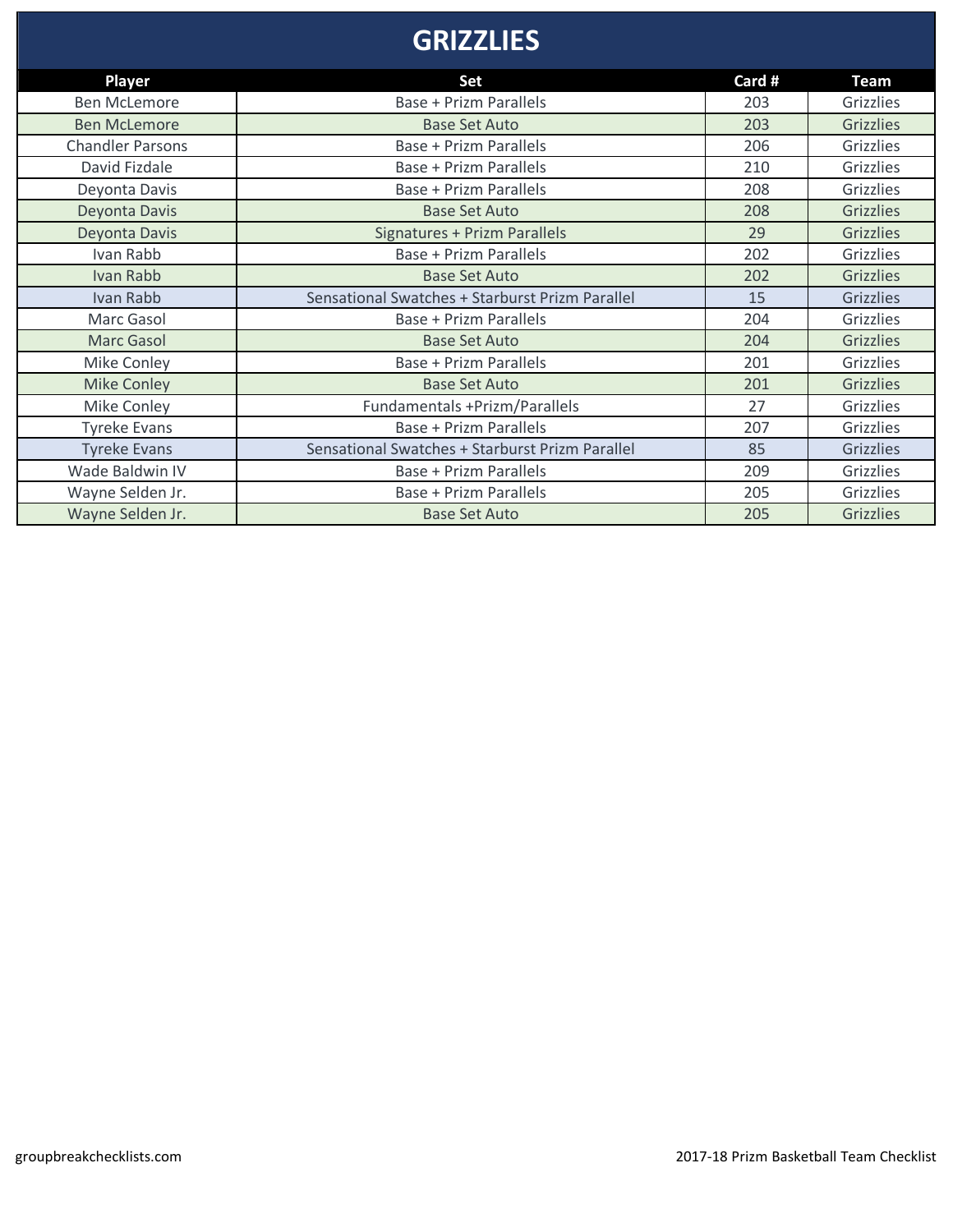# **GRIZZLIES**

| <b>Player</b>           | Set                                             | Card # | <b>Team</b>      |
|-------------------------|-------------------------------------------------|--------|------------------|
| <b>Ben McLemore</b>     | <b>Base + Prizm Parallels</b>                   | 203    | Grizzlies        |
| <b>Ben McLemore</b>     | <b>Base Set Auto</b>                            | 203    | <b>Grizzlies</b> |
| <b>Chandler Parsons</b> | <b>Base + Prizm Parallels</b>                   | 206    | Grizzlies        |
| David Fizdale           | Base + Prizm Parallels                          | 210    | <b>Grizzlies</b> |
| Deyonta Davis           | Base + Prizm Parallels                          | 208    | Grizzlies        |
| Deyonta Davis           | <b>Base Set Auto</b>                            | 208    | <b>Grizzlies</b> |
| Deyonta Davis           | <b>Signatures + Prizm Parallels</b>             | 29     | <b>Grizzlies</b> |
| Ivan Rabb               | <b>Base + Prizm Parallels</b>                   | 202    | Grizzlies        |
| Ivan Rabb               | <b>Base Set Auto</b>                            | 202    | <b>Grizzlies</b> |
| Ivan Rabb               | Sensational Swatches + Starburst Prizm Parallel | 15     | <b>Grizzlies</b> |
| Marc Gasol              | Base + Prizm Parallels                          | 204    | Grizzlies        |
| <b>Marc Gasol</b>       | <b>Base Set Auto</b>                            | 204    | <b>Grizzlies</b> |
| Mike Conley             | Base + Prizm Parallels                          | 201    | <b>Grizzlies</b> |
| <b>Mike Conley</b>      | <b>Base Set Auto</b>                            | 201    | <b>Grizzlies</b> |
| Mike Conley             | Fundamentals +Prizm/Parallels                   | 27     | Grizzlies        |
| <b>Tyreke Evans</b>     | <b>Base + Prizm Parallels</b>                   | 207    | Grizzlies        |
| <b>Tyreke Evans</b>     | Sensational Swatches + Starburst Prizm Parallel | 85     | <b>Grizzlies</b> |
| Wade Baldwin IV         | <b>Base + Prizm Parallels</b>                   | 209    | Grizzlies        |
| Wayne Selden Jr.        | Base + Prizm Parallels                          | 205    | Grizzlies        |
| Wayne Selden Jr.        | <b>Base Set Auto</b>                            | 205    | <b>Grizzlies</b> |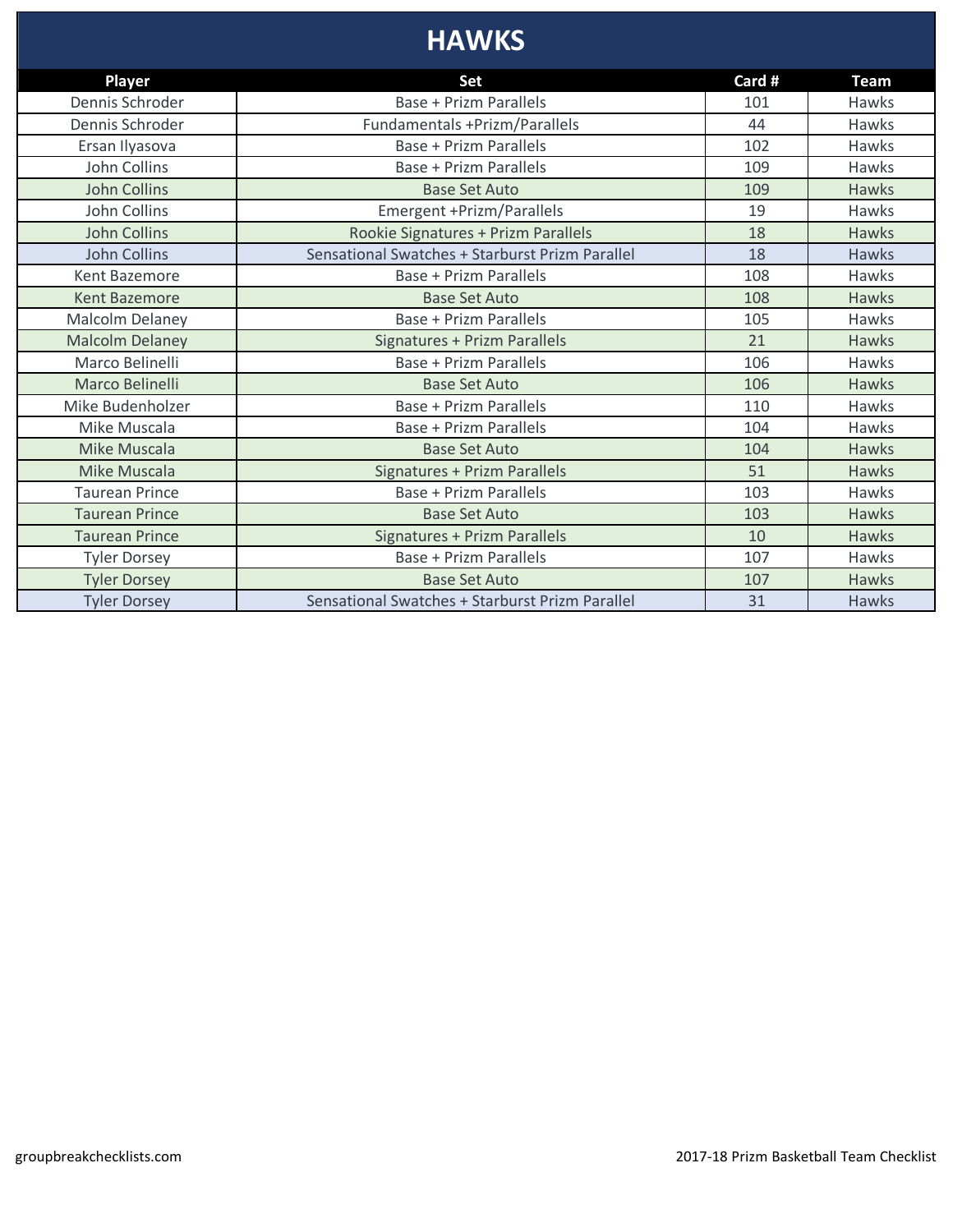# **HAWKS**

| <b>Player</b>          | Set                                             | Card # | <b>Team</b>  |
|------------------------|-------------------------------------------------|--------|--------------|
| Dennis Schroder        | <b>Base + Prizm Parallels</b>                   | 101    | Hawks        |
| Dennis Schroder        | Fundamentals +Prizm/Parallels                   | 44     | Hawks        |
| Ersan Ilyasova         | Base + Prizm Parallels                          | 102    | Hawks        |
| John Collins           | Base + Prizm Parallels                          | 109    | Hawks        |
| <b>John Collins</b>    | <b>Base Set Auto</b>                            | 109    | <b>Hawks</b> |
| John Collins           | Emergent +Prizm/Parallels                       | 19     | Hawks        |
| <b>John Collins</b>    | Rookie Signatures + Prizm Parallels             | 18     | Hawks        |
| John Collins           | Sensational Swatches + Starburst Prizm Parallel | 18     | <b>Hawks</b> |
| <b>Kent Bazemore</b>   | <b>Base + Prizm Parallels</b>                   | 108    | Hawks        |
| <b>Kent Bazemore</b>   | <b>Base Set Auto</b>                            | 108    | <b>Hawks</b> |
| Malcolm Delaney        | <b>Base + Prizm Parallels</b>                   | 105    | Hawks        |
| <b>Malcolm Delaney</b> | Signatures + Prizm Parallels                    | 21     | Hawks        |
| Marco Belinelli        | Base + Prizm Parallels                          | 106    | Hawks        |
| Marco Belinelli        | <b>Base Set Auto</b>                            | 106    | <b>Hawks</b> |
| Mike Budenholzer       | Base + Prizm Parallels                          | 110    | Hawks        |
| Mike Muscala           | <b>Base + Prizm Parallels</b>                   | 104    | Hawks        |
| <b>Mike Muscala</b>    | <b>Base Set Auto</b>                            | 104    | <b>Hawks</b> |
| Mike Muscala           | Signatures + Prizm Parallels                    | 51     | Hawks        |
| <b>Taurean Prince</b>  | Base + Prizm Parallels                          | 103    | Hawks        |
| <b>Taurean Prince</b>  | <b>Base Set Auto</b>                            | 103    | <b>Hawks</b> |
| <b>Taurean Prince</b>  | Signatures + Prizm Parallels                    | 10     | <b>Hawks</b> |
| <b>Tyler Dorsey</b>    | <b>Base + Prizm Parallels</b>                   | 107    | Hawks        |
| <b>Tyler Dorsey</b>    | <b>Base Set Auto</b>                            | 107    | <b>Hawks</b> |
| <b>Tyler Dorsey</b>    | Sensational Swatches + Starburst Prizm Parallel | 31     | <b>Hawks</b> |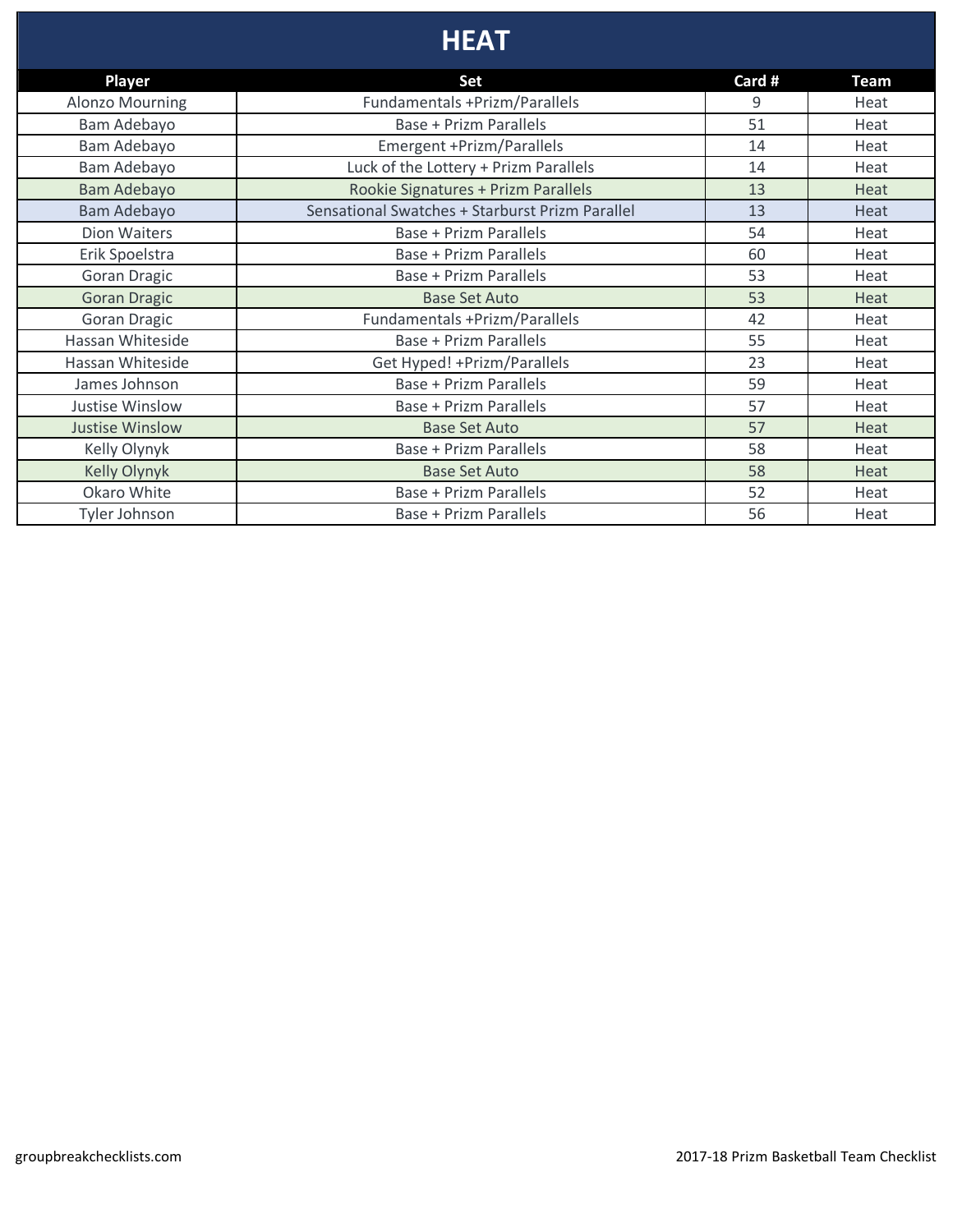# **HEAT**

| <b>Player</b>          | Set                                             | Card # | <b>Team</b> |
|------------------------|-------------------------------------------------|--------|-------------|
| <b>Alonzo Mourning</b> | Fundamentals +Prizm/Parallels                   | 9      | Heat        |
| Bam Adebayo            | <b>Base + Prizm Parallels</b>                   | 51     | Heat        |
| Bam Adebayo            | Emergent +Prizm/Parallels                       | 14     | Heat        |
| Bam Adebayo            | Luck of the Lottery + Prizm Parallels           | 14     | Heat        |
| <b>Bam Adebayo</b>     | Rookie Signatures + Prizm Parallels             | 13     | Heat        |
| Bam Adebayo            | Sensational Swatches + Starburst Prizm Parallel | 13     | Heat        |
| <b>Dion Waiters</b>    | Base + Prizm Parallels                          | 54     | Heat        |
| Erik Spoelstra         | <b>Base + Prizm Parallels</b>                   | 60     | Heat        |
| <b>Goran Dragic</b>    | <b>Base + Prizm Parallels</b>                   | 53     | Heat        |
| <b>Goran Dragic</b>    | <b>Base Set Auto</b>                            | 53     | Heat        |
| <b>Goran Dragic</b>    | Fundamentals +Prizm/Parallels                   | 42     | Heat        |
| Hassan Whiteside       | <b>Base + Prizm Parallels</b>                   | 55     | Heat        |
| Hassan Whiteside       | Get Hyped! + Prizm/Parallels                    | 23     | Heat        |
| James Johnson          | <b>Base + Prizm Parallels</b>                   | 59     | Heat        |
| <b>Justise Winslow</b> | Base + Prizm Parallels                          | 57     | Heat        |
| <b>Justise Winslow</b> | <b>Base Set Auto</b>                            | 57     | Heat        |
| Kelly Olynyk           | <b>Base + Prizm Parallels</b>                   | 58     | Heat        |
| <b>Kelly Olynyk</b>    | <b>Base Set Auto</b>                            | 58     | Heat        |
| Okaro White            | <b>Base + Prizm Parallels</b>                   | 52     | Heat        |
| <b>Tyler Johnson</b>   | Base + Prizm Parallels                          | 56     | Heat        |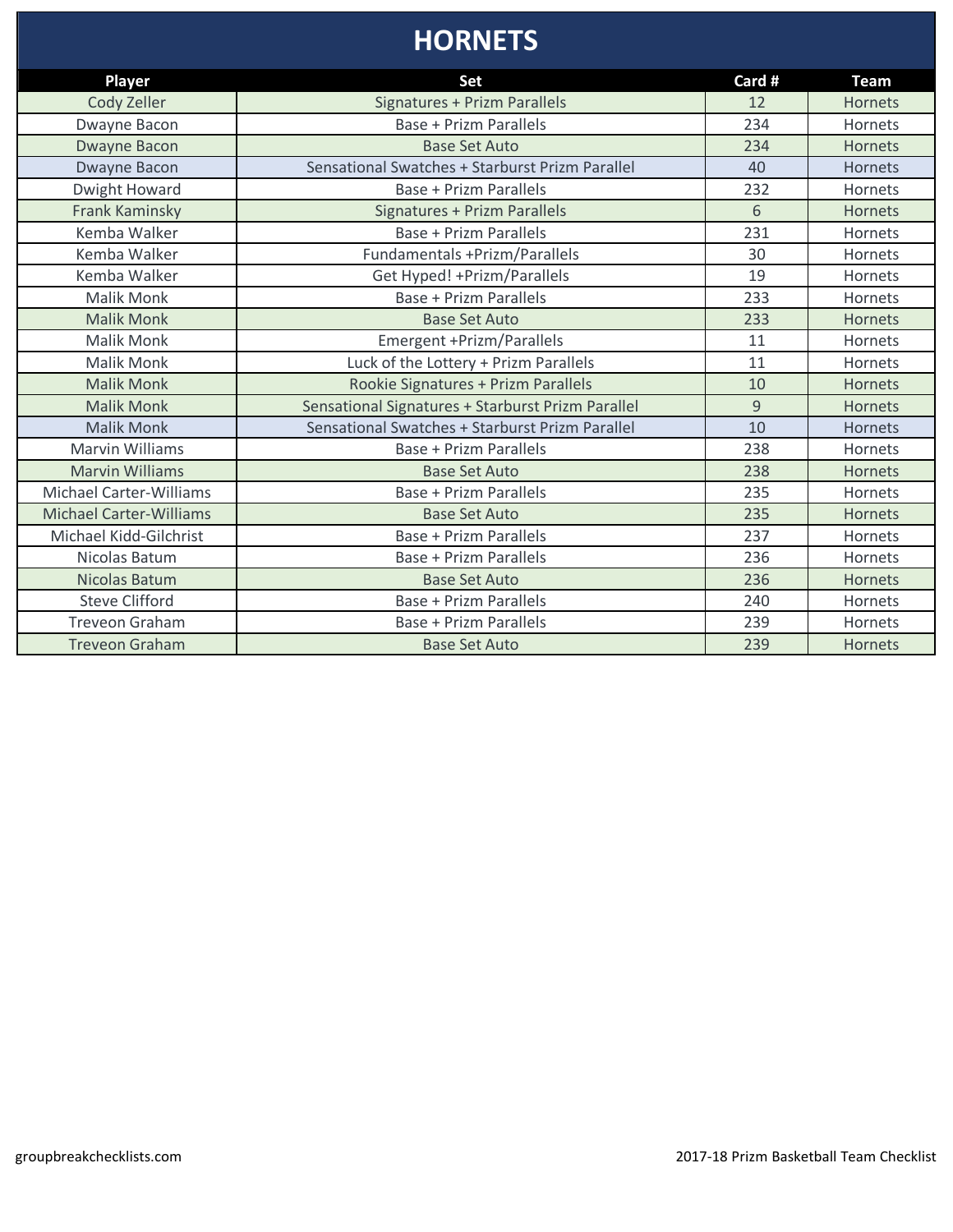# **HORNETS**

| Player                         | Set                                               | Card # | <b>Team</b>    |
|--------------------------------|---------------------------------------------------|--------|----------------|
| Cody Zeller                    | Signatures + Prizm Parallels                      | 12     | <b>Hornets</b> |
| Dwayne Bacon                   | <b>Base + Prizm Parallels</b>                     | 234    | Hornets        |
| Dwayne Bacon                   | <b>Base Set Auto</b>                              | 234    | <b>Hornets</b> |
| <b>Dwayne Bacon</b>            | Sensational Swatches + Starburst Prizm Parallel   | 40     | Hornets        |
| Dwight Howard                  | <b>Base + Prizm Parallels</b>                     | 232    | Hornets        |
| <b>Frank Kaminsky</b>          | <b>Signatures + Prizm Parallels</b>               | 6      | <b>Hornets</b> |
| Kemba Walker                   | <b>Base + Prizm Parallels</b>                     | 231    | Hornets        |
| Kemba Walker                   | Fundamentals +Prizm/Parallels                     | 30     | Hornets        |
| Kemba Walker                   | Get Hyped! + Prizm/Parallels                      | 19     | Hornets        |
| <b>Malik Monk</b>              | Base + Prizm Parallels                            | 233    | Hornets        |
| <b>Malik Monk</b>              | <b>Base Set Auto</b>                              | 233    | <b>Hornets</b> |
| <b>Malik Monk</b>              | Emergent +Prizm/Parallels                         | 11     | Hornets        |
| <b>Malik Monk</b>              | Luck of the Lottery + Prizm Parallels             | 11     | Hornets        |
| <b>Malik Monk</b>              | Rookie Signatures + Prizm Parallels               | 10     | <b>Hornets</b> |
| <b>Malik Monk</b>              | Sensational Signatures + Starburst Prizm Parallel | 9      | <b>Hornets</b> |
| <b>Malik Monk</b>              | Sensational Swatches + Starburst Prizm Parallel   | 10     | Hornets        |
| <b>Marvin Williams</b>         | <b>Base + Prizm Parallels</b>                     | 238    | Hornets        |
| <b>Marvin Williams</b>         | <b>Base Set Auto</b>                              | 238    | <b>Hornets</b> |
| <b>Michael Carter-Williams</b> | <b>Base + Prizm Parallels</b>                     | 235    | Hornets        |
| <b>Michael Carter-Williams</b> | <b>Base Set Auto</b>                              | 235    | <b>Hornets</b> |
| Michael Kidd-Gilchrist         | <b>Base + Prizm Parallels</b>                     | 237    | Hornets        |
| Nicolas Batum                  | Base + Prizm Parallels                            | 236    | Hornets        |
| Nicolas Batum                  | <b>Base Set Auto</b>                              | 236    | Hornets        |
| <b>Steve Clifford</b>          | <b>Base + Prizm Parallels</b>                     | 240    | Hornets        |
| <b>Treveon Graham</b>          | <b>Base + Prizm Parallels</b>                     | 239    | Hornets        |
| <b>Treveon Graham</b>          | <b>Base Set Auto</b>                              | 239    | <b>Hornets</b> |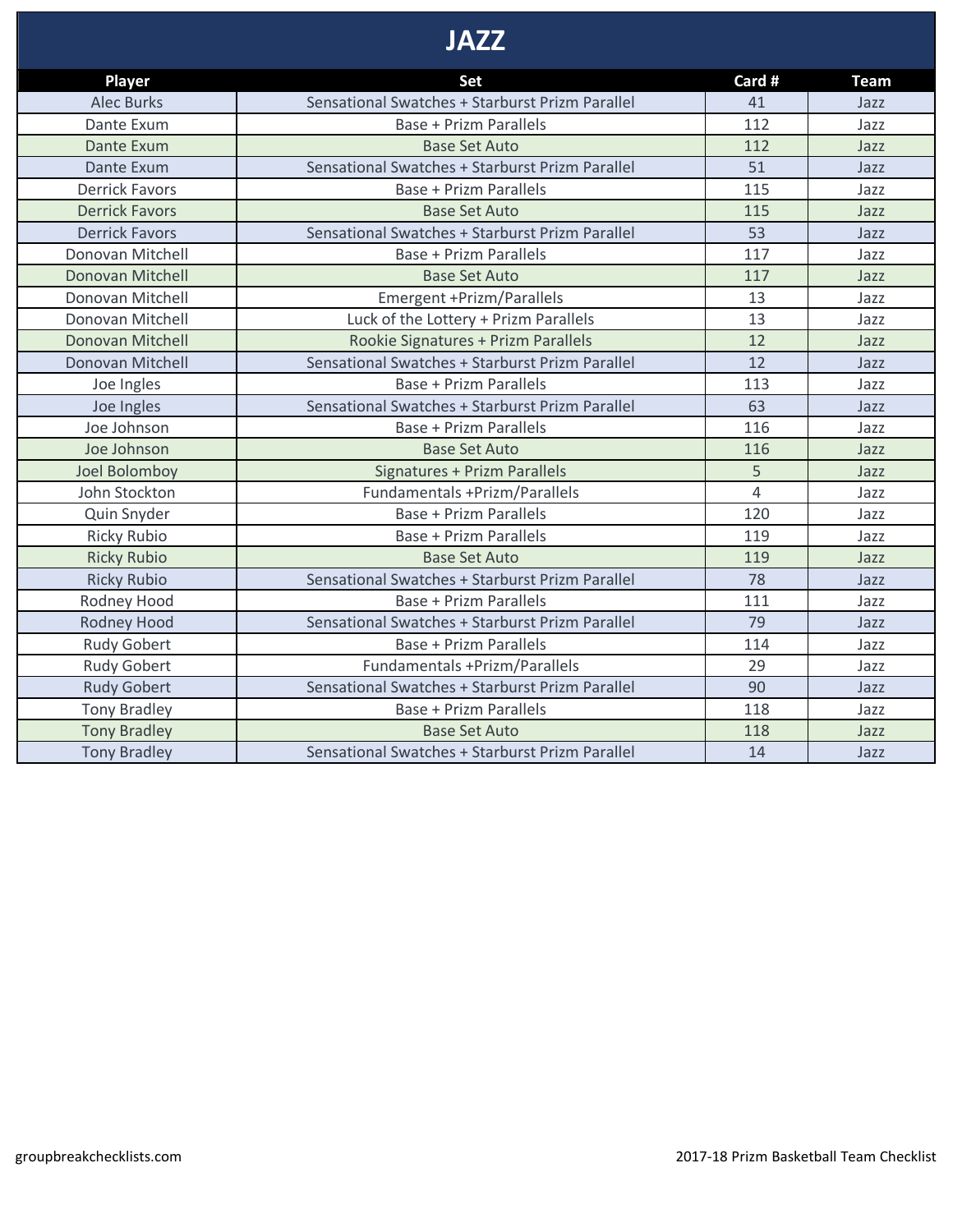### **JAZZ**

| <b>Player</b>         | Set                                             | Card #         | <b>Team</b> |
|-----------------------|-------------------------------------------------|----------------|-------------|
| <b>Alec Burks</b>     | Sensational Swatches + Starburst Prizm Parallel | 41             | Jazz        |
| Dante Exum            | <b>Base + Prizm Parallels</b>                   | 112            | Jazz        |
| Dante Exum            | <b>Base Set Auto</b>                            | 112            | Jazz        |
| Dante Exum            | Sensational Swatches + Starburst Prizm Parallel | 51             | Jazz        |
| <b>Derrick Favors</b> | <b>Base + Prizm Parallels</b>                   | 115            | Jazz        |
| <b>Derrick Favors</b> | <b>Base Set Auto</b>                            | 115            | Jazz        |
| <b>Derrick Favors</b> | Sensational Swatches + Starburst Prizm Parallel | 53             | Jazz        |
| Donovan Mitchell      | Base + Prizm Parallels                          | 117            | Jazz        |
| Donovan Mitchell      | <b>Base Set Auto</b>                            | 117            | Jazz        |
| Donovan Mitchell      | Emergent +Prizm/Parallels                       | 13             | Jazz        |
| Donovan Mitchell      | Luck of the Lottery + Prizm Parallels           | 13             | Jazz        |
| Donovan Mitchell      | Rookie Signatures + Prizm Parallels             | 12             | Jazz        |
| Donovan Mitchell      | Sensational Swatches + Starburst Prizm Parallel | 12             | Jazz        |
| Joe Ingles            | <b>Base + Prizm Parallels</b>                   | 113            | Jazz        |
| Joe Ingles            | Sensational Swatches + Starburst Prizm Parallel | 63             | Jazz        |
| Joe Johnson           | <b>Base + Prizm Parallels</b>                   | 116            | Jazz        |
| Joe Johnson           | <b>Base Set Auto</b>                            | 116            | Jazz        |
| Joel Bolomboy         | Signatures + Prizm Parallels                    | 5              | Jazz        |
| John Stockton         | Fundamentals +Prizm/Parallels                   | $\overline{4}$ | Jazz        |
| Quin Snyder           | <b>Base + Prizm Parallels</b>                   | 120            | Jazz        |
| <b>Ricky Rubio</b>    | <b>Base + Prizm Parallels</b>                   | 119            | Jazz        |
| <b>Ricky Rubio</b>    | <b>Base Set Auto</b>                            | 119            | Jazz        |
| <b>Ricky Rubio</b>    | Sensational Swatches + Starburst Prizm Parallel | 78             | Jazz        |
| Rodney Hood           | Base + Prizm Parallels                          | 111            | Jazz        |
| Rodney Hood           | Sensational Swatches + Starburst Prizm Parallel | 79             | Jazz        |
| <b>Rudy Gobert</b>    | <b>Base + Prizm Parallels</b>                   | 114            | Jazz        |
| <b>Rudy Gobert</b>    | Fundamentals +Prizm/Parallels                   | 29             | Jazz        |
| <b>Rudy Gobert</b>    | Sensational Swatches + Starburst Prizm Parallel | 90             | Jazz        |
| <b>Tony Bradley</b>   | <b>Base + Prizm Parallels</b>                   | 118            | Jazz        |
| <b>Tony Bradley</b>   | <b>Base Set Auto</b>                            | 118            | Jazz        |
| <b>Tony Bradley</b>   | Sensational Swatches + Starburst Prizm Parallel | 14             | Jazz        |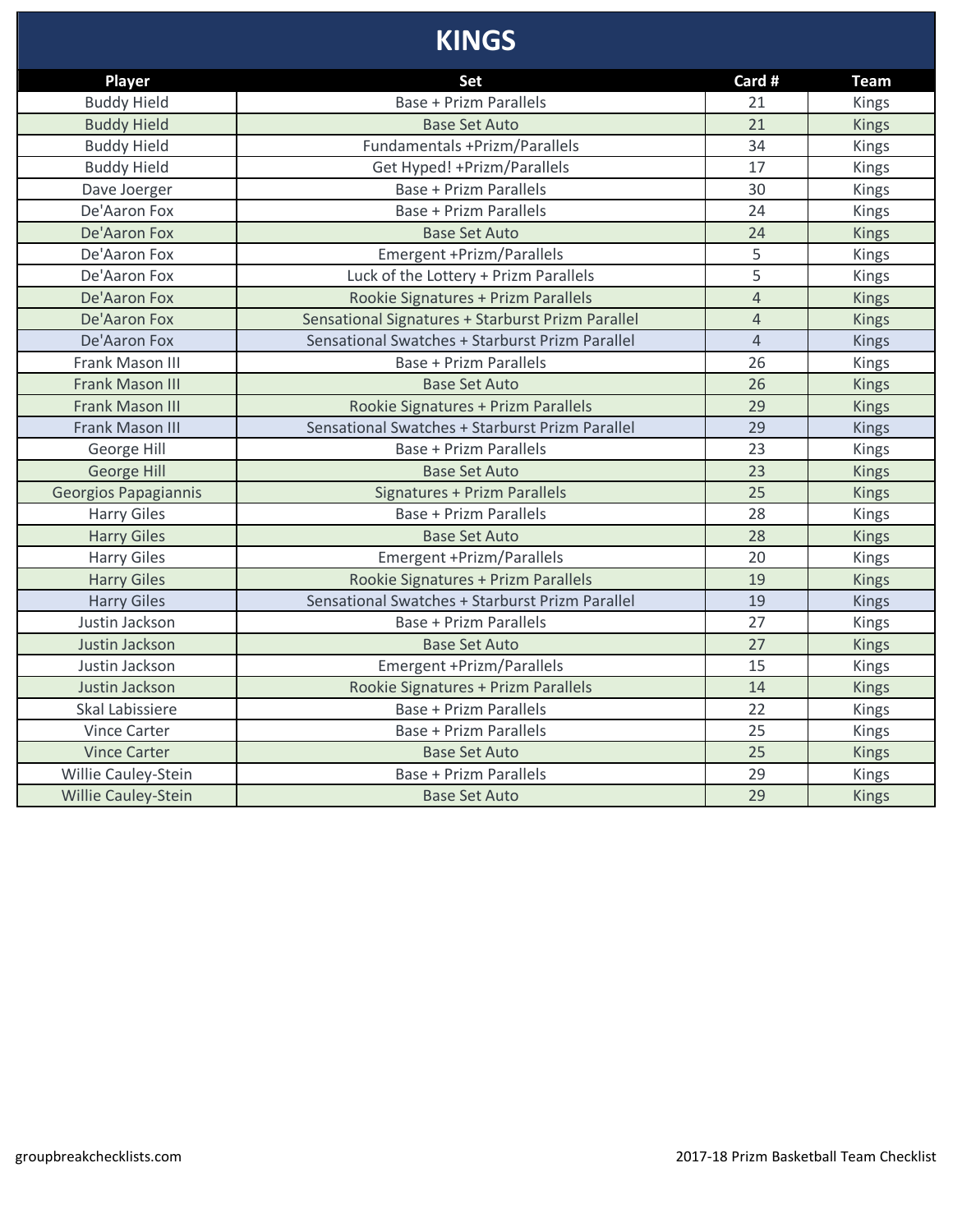# **KINGS**

| Player                      | Set                                               | Card #         | <b>Team</b>  |
|-----------------------------|---------------------------------------------------|----------------|--------------|
| <b>Buddy Hield</b>          | <b>Base + Prizm Parallels</b>                     | 21             | <b>Kings</b> |
| <b>Buddy Hield</b>          | <b>Base Set Auto</b>                              | 21             | <b>Kings</b> |
| <b>Buddy Hield</b>          | Fundamentals +Prizm/Parallels                     | 34             | Kings        |
| <b>Buddy Hield</b>          | Get Hyped! + Prizm/Parallels                      | 17             | Kings        |
| Dave Joerger                | <b>Base + Prizm Parallels</b>                     | 30             | Kings        |
| De'Aaron Fox                | <b>Base + Prizm Parallels</b>                     | 24             | Kings        |
| De'Aaron Fox                | <b>Base Set Auto</b>                              | 24             | <b>Kings</b> |
| De'Aaron Fox                | Emergent +Prizm/Parallels                         | 5              | Kings        |
| De'Aaron Fox                | Luck of the Lottery + Prizm Parallels             | 5              | Kings        |
| De'Aaron Fox                | Rookie Signatures + Prizm Parallels               | $\overline{4}$ | <b>Kings</b> |
| De'Aaron Fox                | Sensational Signatures + Starburst Prizm Parallel | $\overline{4}$ | <b>Kings</b> |
| De'Aaron Fox                | Sensational Swatches + Starburst Prizm Parallel   | $\overline{4}$ | <b>Kings</b> |
| Frank Mason III             | <b>Base + Prizm Parallels</b>                     | 26             | Kings        |
| <b>Frank Mason III</b>      | <b>Base Set Auto</b>                              | 26             | <b>Kings</b> |
| <b>Frank Mason III</b>      | Rookie Signatures + Prizm Parallels               | 29             | <b>Kings</b> |
| Frank Mason III             | Sensational Swatches + Starburst Prizm Parallel   | 29             | <b>Kings</b> |
| George Hill                 | <b>Base + Prizm Parallels</b>                     | 23             | Kings        |
| George Hill                 | <b>Base Set Auto</b>                              | 23             | <b>Kings</b> |
| <b>Georgios Papagiannis</b> | Signatures + Prizm Parallels                      | 25             | <b>Kings</b> |
| <b>Harry Giles</b>          | <b>Base + Prizm Parallels</b>                     | 28             | Kings        |
| <b>Harry Giles</b>          | <b>Base Set Auto</b>                              | 28             | <b>Kings</b> |
| <b>Harry Giles</b>          | Emergent +Prizm/Parallels                         | 20             | Kings        |
| <b>Harry Giles</b>          | Rookie Signatures + Prizm Parallels               | 19             | <b>Kings</b> |
| <b>Harry Giles</b>          | Sensational Swatches + Starburst Prizm Parallel   | 19             | <b>Kings</b> |
| Justin Jackson              | <b>Base + Prizm Parallels</b>                     | 27             | Kings        |
| Justin Jackson              | <b>Base Set Auto</b>                              | 27             | <b>Kings</b> |
| Justin Jackson              | Emergent +Prizm/Parallels                         | 15             | <b>Kings</b> |
| Justin Jackson              | Rookie Signatures + Prizm Parallels               | 14             | <b>Kings</b> |
| Skal Labissiere             | <b>Base + Prizm Parallels</b>                     | 22             | Kings        |
| <b>Vince Carter</b>         | <b>Base + Prizm Parallels</b>                     | 25             | Kings        |
| <b>Vince Carter</b>         | <b>Base Set Auto</b>                              | 25             | <b>Kings</b> |
| Willie Cauley-Stein         | <b>Base + Prizm Parallels</b>                     | 29             | Kings        |
| <b>Willie Cauley-Stein</b>  | <b>Base Set Auto</b>                              | 29             | <b>Kings</b> |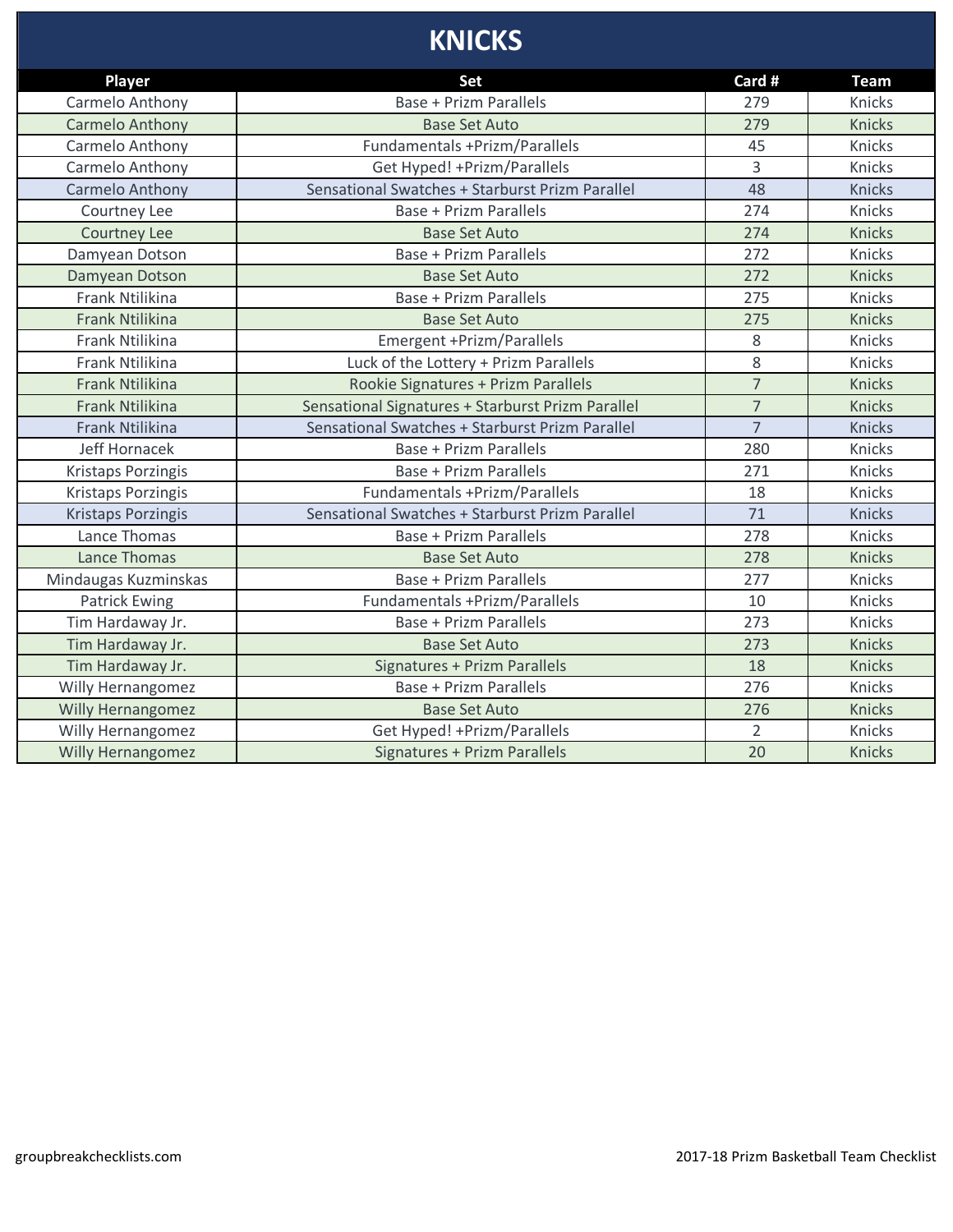# **KNICKS**

| <b>Player</b>             | <b>Set</b>                                        | Card #         | <b>Team</b>   |
|---------------------------|---------------------------------------------------|----------------|---------------|
| Carmelo Anthony           | <b>Base + Prizm Parallels</b>                     | 279            | Knicks        |
| <b>Carmelo Anthony</b>    | <b>Base Set Auto</b>                              | 279            | <b>Knicks</b> |
| Carmelo Anthony           | Fundamentals +Prizm/Parallels                     | 45             | Knicks        |
| Carmelo Anthony           | Get Hyped! + Prizm/Parallels                      | $\overline{3}$ | Knicks        |
| Carmelo Anthony           | Sensational Swatches + Starburst Prizm Parallel   | 48             | Knicks        |
| Courtney Lee              | <b>Base + Prizm Parallels</b>                     | 274            | Knicks        |
| <b>Courtney Lee</b>       | <b>Base Set Auto</b>                              | 274            | <b>Knicks</b> |
| Damyean Dotson            | <b>Base + Prizm Parallels</b>                     | 272            | Knicks        |
| Damyean Dotson            | <b>Base Set Auto</b>                              | 272            | <b>Knicks</b> |
| Frank Ntilikina           | <b>Base + Prizm Parallels</b>                     | 275            | Knicks        |
| Frank Ntilikina           | <b>Base Set Auto</b>                              | 275            | <b>Knicks</b> |
| Frank Ntilikina           | Emergent +Prizm/Parallels                         | 8              | Knicks        |
| Frank Ntilikina           | Luck of the Lottery + Prizm Parallels             | 8              | Knicks        |
| Frank Ntilikina           | Rookie Signatures + Prizm Parallels               | $\overline{7}$ | <b>Knicks</b> |
| <b>Frank Ntilikina</b>    | Sensational Signatures + Starburst Prizm Parallel | $\overline{7}$ | <b>Knicks</b> |
| Frank Ntilikina           | Sensational Swatches + Starburst Prizm Parallel   | $\overline{7}$ | <b>Knicks</b> |
| Jeff Hornacek             | <b>Base + Prizm Parallels</b>                     | 280            | Knicks        |
| <b>Kristaps Porzingis</b> | <b>Base + Prizm Parallels</b>                     | 271            | Knicks        |
| <b>Kristaps Porzingis</b> | Fundamentals +Prizm/Parallels                     | 18             | Knicks        |
| Kristaps Porzingis        | Sensational Swatches + Starburst Prizm Parallel   | 71             | <b>Knicks</b> |
| Lance Thomas              | <b>Base + Prizm Parallels</b>                     | 278            | Knicks        |
| Lance Thomas              | <b>Base Set Auto</b>                              | 278            | <b>Knicks</b> |
| Mindaugas Kuzminskas      | <b>Base + Prizm Parallels</b>                     | 277            | Knicks        |
| <b>Patrick Ewing</b>      | Fundamentals +Prizm/Parallels                     | 10             | Knicks        |
| Tim Hardaway Jr.          | <b>Base + Prizm Parallels</b>                     | 273            | Knicks        |
| Tim Hardaway Jr.          | <b>Base Set Auto</b>                              | 273            | <b>Knicks</b> |
| Tim Hardaway Jr.          | <b>Signatures + Prizm Parallels</b>               | 18             | <b>Knicks</b> |
| Willy Hernangomez         | <b>Base + Prizm Parallels</b>                     | 276            | Knicks        |
| Willy Hernangomez         | <b>Base Set Auto</b>                              | 276            | <b>Knicks</b> |
| Willy Hernangomez         | Get Hyped! + Prizm/Parallels                      | $\overline{2}$ | Knicks        |
| <b>Willy Hernangomez</b>  | Signatures + Prizm Parallels                      | 20             | <b>Knicks</b> |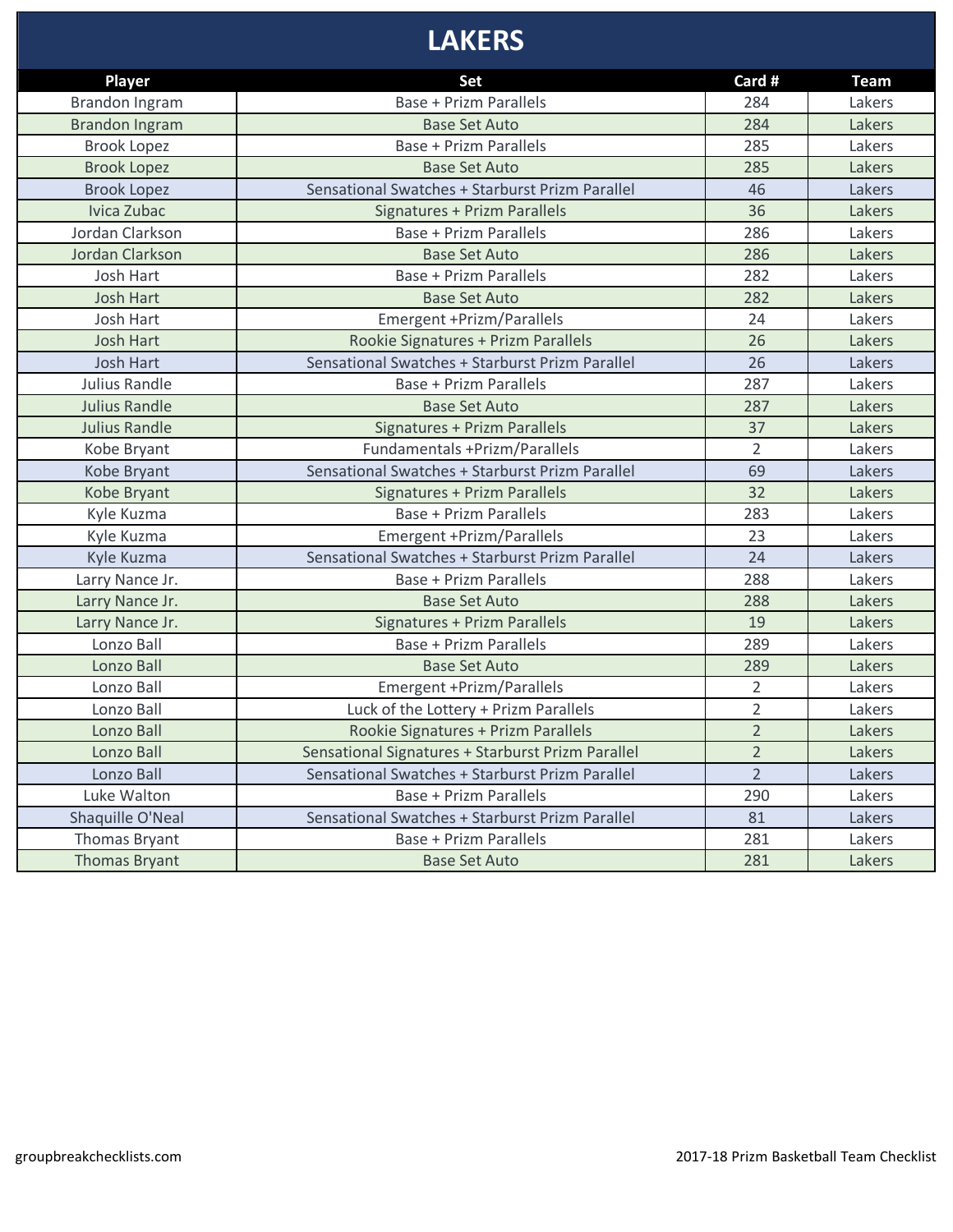# **LAKERS**

| Player                | Set                                               | Card #         | <b>Team</b> |
|-----------------------|---------------------------------------------------|----------------|-------------|
| Brandon Ingram        | <b>Base + Prizm Parallels</b>                     | 284            | Lakers      |
| <b>Brandon Ingram</b> | <b>Base Set Auto</b>                              | 284            | Lakers      |
| <b>Brook Lopez</b>    | Base + Prizm Parallels                            | 285            | Lakers      |
| <b>Brook Lopez</b>    | <b>Base Set Auto</b>                              | 285            | Lakers      |
| <b>Brook Lopez</b>    | Sensational Swatches + Starburst Prizm Parallel   | 46             | Lakers      |
| Ivica Zubac           | Signatures + Prizm Parallels                      | 36             | Lakers      |
| Jordan Clarkson       | Base + Prizm Parallels                            | 286            | Lakers      |
| Jordan Clarkson       | <b>Base Set Auto</b>                              | 286            | Lakers      |
| Josh Hart             | <b>Base + Prizm Parallels</b>                     | 282            | Lakers      |
| <b>Josh Hart</b>      | <b>Base Set Auto</b>                              | 282            | Lakers      |
| Josh Hart             | Emergent +Prizm/Parallels                         | 24             | Lakers      |
| <b>Josh Hart</b>      | Rookie Signatures + Prizm Parallels               | 26             | Lakers      |
| <b>Josh Hart</b>      | Sensational Swatches + Starburst Prizm Parallel   | 26             | Lakers      |
| Julius Randle         | <b>Base + Prizm Parallels</b>                     | 287            | Lakers      |
| <b>Julius Randle</b>  | <b>Base Set Auto</b>                              | 287            | Lakers      |
| <b>Julius Randle</b>  | Signatures + Prizm Parallels                      | 37             | Lakers      |
| Kobe Bryant           | Fundamentals +Prizm/Parallels                     | $\overline{2}$ | Lakers      |
| Kobe Bryant           | Sensational Swatches + Starburst Prizm Parallel   | 69             | Lakers      |
| Kobe Bryant           | <b>Signatures + Prizm Parallels</b>               | 32             | Lakers      |
| Kyle Kuzma            | Base + Prizm Parallels                            | 283            | Lakers      |
| Kyle Kuzma            | Emergent +Prizm/Parallels                         | 23             | Lakers      |
| Kyle Kuzma            | Sensational Swatches + Starburst Prizm Parallel   | 24             | Lakers      |
| Larry Nance Jr.       | <b>Base + Prizm Parallels</b>                     | 288            | Lakers      |
| Larry Nance Jr.       | <b>Base Set Auto</b>                              | 288            | Lakers      |
| Larry Nance Jr.       | Signatures + Prizm Parallels                      | 19             | Lakers      |
| Lonzo Ball            | <b>Base + Prizm Parallels</b>                     | 289            | Lakers      |
| Lonzo Ball            | <b>Base Set Auto</b>                              | 289            | Lakers      |
| Lonzo Ball            | Emergent +Prizm/Parallels                         | $\overline{2}$ | Lakers      |
| Lonzo Ball            | Luck of the Lottery + Prizm Parallels             | $\overline{2}$ | Lakers      |
| Lonzo Ball            | Rookie Signatures + Prizm Parallels               | $\overline{2}$ | Lakers      |
| Lonzo Ball            | Sensational Signatures + Starburst Prizm Parallel | $\overline{2}$ | Lakers      |
| Lonzo Ball            | Sensational Swatches + Starburst Prizm Parallel   | $\overline{2}$ | Lakers      |
| Luke Walton           | <b>Base + Prizm Parallels</b>                     | 290            | Lakers      |
| Shaquille O'Neal      | Sensational Swatches + Starburst Prizm Parallel   | 81             | Lakers      |
| Thomas Bryant         | <b>Base + Prizm Parallels</b>                     | 281            | Lakers      |
| <b>Thomas Bryant</b>  | <b>Base Set Auto</b>                              | 281            | Lakers      |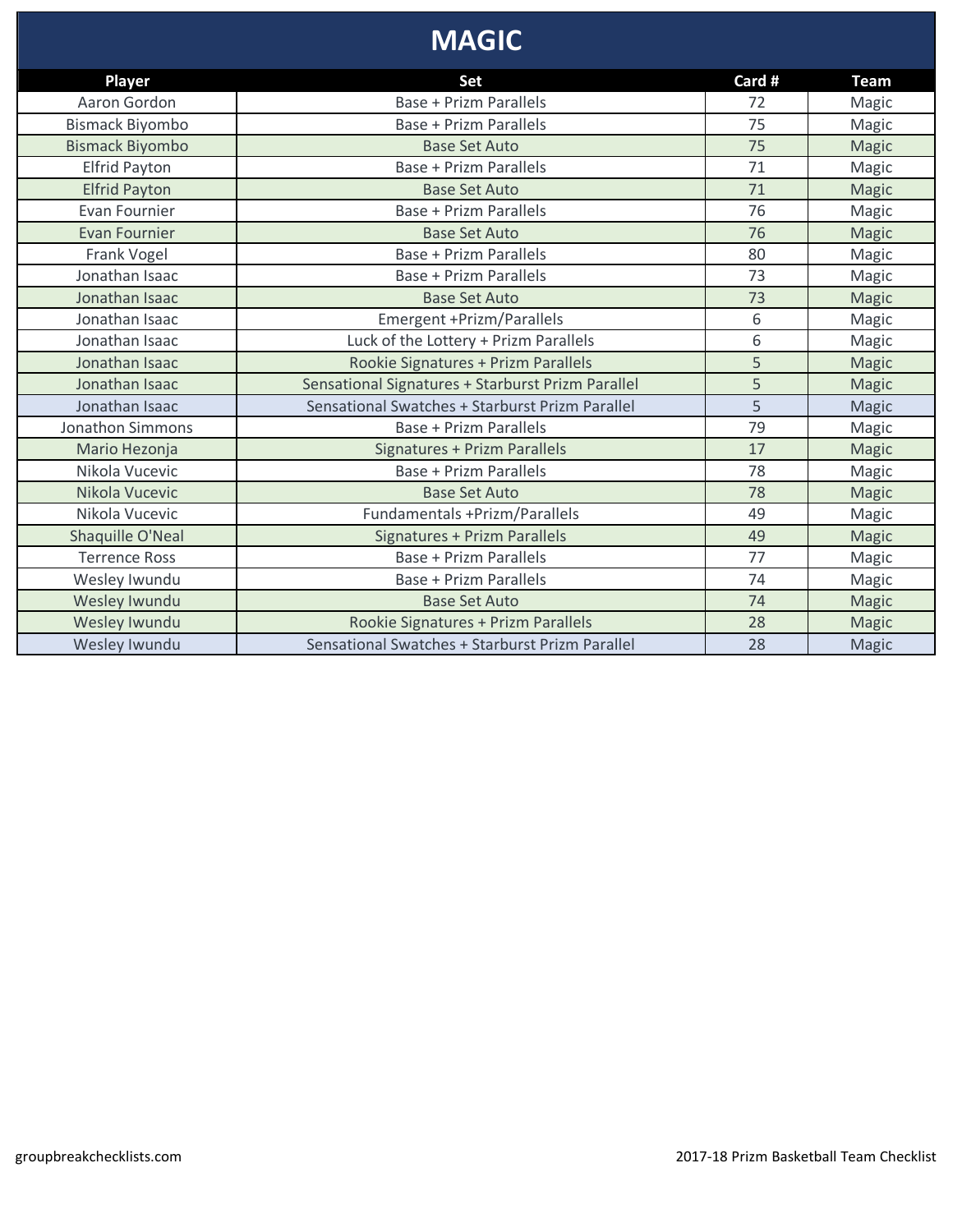# **MAGIC**

| <b>Player</b>           | Set                                               | Card # | <b>Team</b>  |
|-------------------------|---------------------------------------------------|--------|--------------|
| Aaron Gordon            | Base + Prizm Parallels                            | 72     | Magic        |
| <b>Bismack Biyombo</b>  | <b>Base + Prizm Parallels</b>                     | 75     | Magic        |
| <b>Bismack Biyombo</b>  | <b>Base Set Auto</b>                              | 75     | Magic        |
| <b>Elfrid Payton</b>    | Base + Prizm Parallels                            | 71     | Magic        |
| <b>Elfrid Payton</b>    | <b>Base Set Auto</b>                              | 71     | Magic        |
| Evan Fournier           | <b>Base + Prizm Parallels</b>                     | 76     | Magic        |
| <b>Evan Fournier</b>    | <b>Base Set Auto</b>                              | 76     | Magic        |
| Frank Vogel             | <b>Base + Prizm Parallels</b>                     | 80     | Magic        |
| Jonathan Isaac          | <b>Base + Prizm Parallels</b>                     | 73     | Magic        |
| Jonathan Isaac          | <b>Base Set Auto</b>                              | 73     | <b>Magic</b> |
| Jonathan Isaac          | Emergent +Prizm/Parallels                         | 6      | Magic        |
| Jonathan Isaac          | Luck of the Lottery + Prizm Parallels             | 6      | Magic        |
| Jonathan Isaac          | Rookie Signatures + Prizm Parallels               | 5      | <b>Magic</b> |
| Jonathan Isaac          | Sensational Signatures + Starburst Prizm Parallel | 5      | <b>Magic</b> |
| Jonathan Isaac          | Sensational Swatches + Starburst Prizm Parallel   | 5      | Magic        |
| <b>Jonathon Simmons</b> | <b>Base + Prizm Parallels</b>                     | 79     | Magic        |
| Mario Hezonja           | Signatures + Prizm Parallels                      | 17     | Magic        |
| Nikola Vucevic          | <b>Base + Prizm Parallels</b>                     | 78     | Magic        |
| Nikola Vucevic          | <b>Base Set Auto</b>                              | 78     | Magic        |
| Nikola Vucevic          | Fundamentals +Prizm/Parallels                     | 49     | Magic        |
| Shaquille O'Neal        | Signatures + Prizm Parallels                      | 49     | <b>Magic</b> |
| <b>Terrence Ross</b>    | <b>Base + Prizm Parallels</b>                     | 77     | Magic        |
| Wesley Iwundu           | <b>Base + Prizm Parallels</b>                     | 74     | Magic        |
| Wesley Iwundu           | <b>Base Set Auto</b>                              | 74     | <b>Magic</b> |
| Wesley Iwundu           | Rookie Signatures + Prizm Parallels               | 28     | Magic        |
| Wesley Iwundu           | Sensational Swatches + Starburst Prizm Parallel   | 28     | <b>Magic</b> |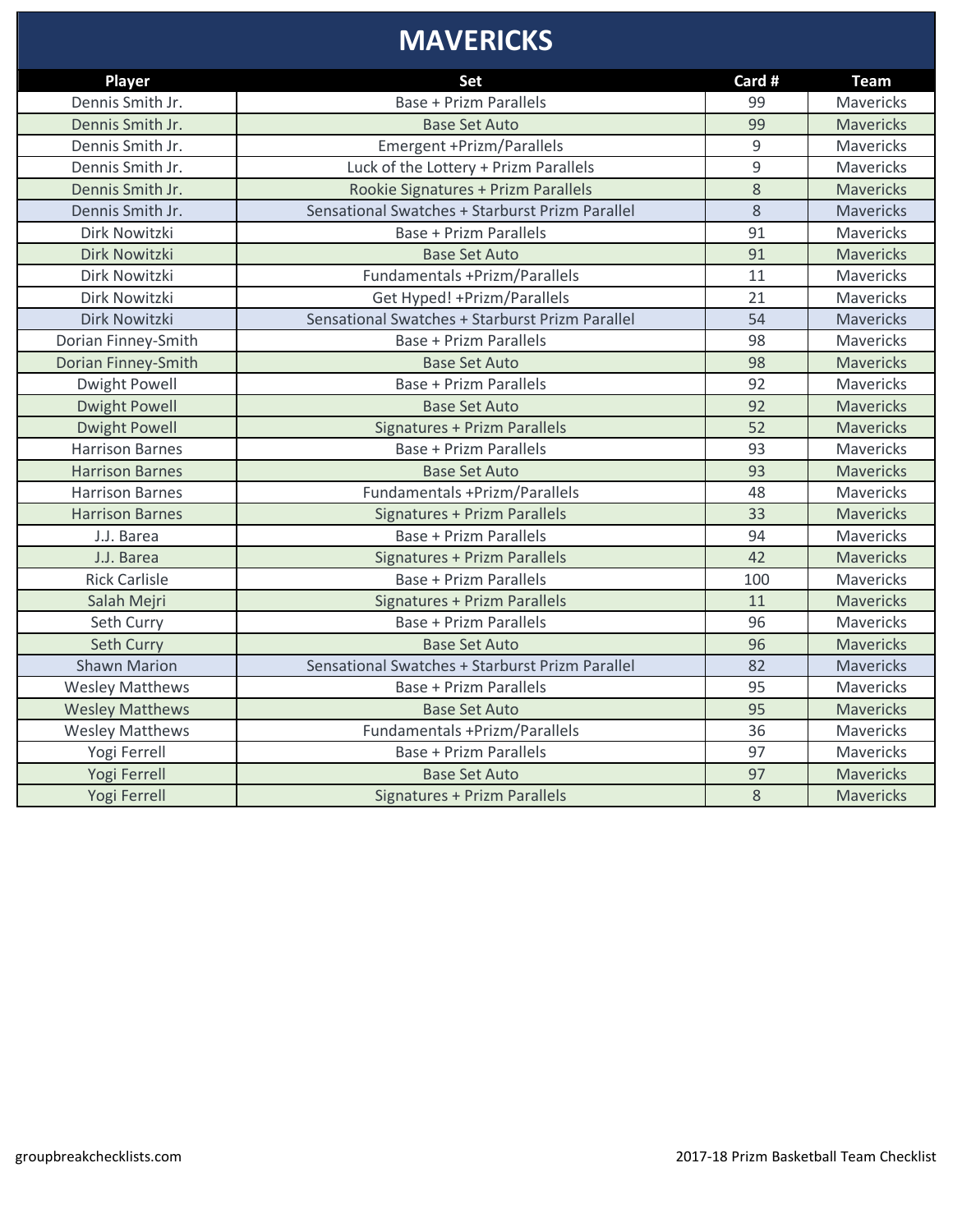#### **MAVERICKS**

| <b>Player</b>          | Set                                             | Card # | <b>Team</b>      |
|------------------------|-------------------------------------------------|--------|------------------|
| Dennis Smith Jr.       | <b>Base + Prizm Parallels</b>                   | 99     | Mavericks        |
| Dennis Smith Jr.       | <b>Base Set Auto</b>                            | 99     | <b>Mavericks</b> |
| Dennis Smith Jr.       | Emergent +Prizm/Parallels                       | 9      | Mavericks        |
| Dennis Smith Jr.       | Luck of the Lottery + Prizm Parallels           | 9      | Mavericks        |
| Dennis Smith Jr.       | Rookie Signatures + Prizm Parallels             | 8      | <b>Mavericks</b> |
| Dennis Smith Jr.       | Sensational Swatches + Starburst Prizm Parallel | 8      | Mavericks        |
| Dirk Nowitzki          | <b>Base + Prizm Parallels</b>                   | 91     | <b>Mavericks</b> |
| Dirk Nowitzki          | <b>Base Set Auto</b>                            | 91     | <b>Mavericks</b> |
| Dirk Nowitzki          | Fundamentals +Prizm/Parallels                   | 11     | Mavericks        |
| Dirk Nowitzki          | Get Hyped! + Prizm/Parallels                    | 21     | Mavericks        |
| Dirk Nowitzki          | Sensational Swatches + Starburst Prizm Parallel | 54     | Mavericks        |
| Dorian Finney-Smith    | <b>Base + Prizm Parallels</b>                   | 98     | Mavericks        |
| Dorian Finney-Smith    | <b>Base Set Auto</b>                            | 98     | Mavericks        |
| <b>Dwight Powell</b>   | <b>Base + Prizm Parallels</b>                   | 92     | Mavericks        |
| <b>Dwight Powell</b>   | <b>Base Set Auto</b>                            | 92     | <b>Mavericks</b> |
| <b>Dwight Powell</b>   | Signatures + Prizm Parallels                    | 52     | <b>Mavericks</b> |
| <b>Harrison Barnes</b> | <b>Base + Prizm Parallels</b>                   | 93     | Mavericks        |
| <b>Harrison Barnes</b> | <b>Base Set Auto</b>                            | 93     | <b>Mavericks</b> |
| <b>Harrison Barnes</b> | Fundamentals +Prizm/Parallels                   | 48     | Mavericks        |
| <b>Harrison Barnes</b> | Signatures + Prizm Parallels                    | 33     | <b>Mavericks</b> |
| J.J. Barea             | <b>Base + Prizm Parallels</b>                   | 94     | Mavericks        |
| J.J. Barea             | <b>Signatures + Prizm Parallels</b>             | 42     | <b>Mavericks</b> |
| <b>Rick Carlisle</b>   | <b>Base + Prizm Parallels</b>                   | 100    | Mavericks        |
| Salah Mejri            | Signatures + Prizm Parallels                    | 11     | <b>Mavericks</b> |
| Seth Curry             | <b>Base + Prizm Parallels</b>                   | 96     | Mavericks        |
| Seth Curry             | <b>Base Set Auto</b>                            | 96     | <b>Mavericks</b> |
| <b>Shawn Marion</b>    | Sensational Swatches + Starburst Prizm Parallel | 82     | <b>Mavericks</b> |
| <b>Wesley Matthews</b> | <b>Base + Prizm Parallels</b>                   | 95     | Mavericks        |
| <b>Wesley Matthews</b> | <b>Base Set Auto</b>                            | 95     | <b>Mavericks</b> |
| <b>Wesley Matthews</b> | Fundamentals +Prizm/Parallels                   | 36     | Mavericks        |
| Yogi Ferrell           | <b>Base + Prizm Parallels</b>                   | 97     | Mavericks        |
| Yogi Ferrell           | <b>Base Set Auto</b>                            | 97     | <b>Mavericks</b> |
| Yogi Ferrell           | <b>Signatures + Prizm Parallels</b>             | 8      | <b>Mavericks</b> |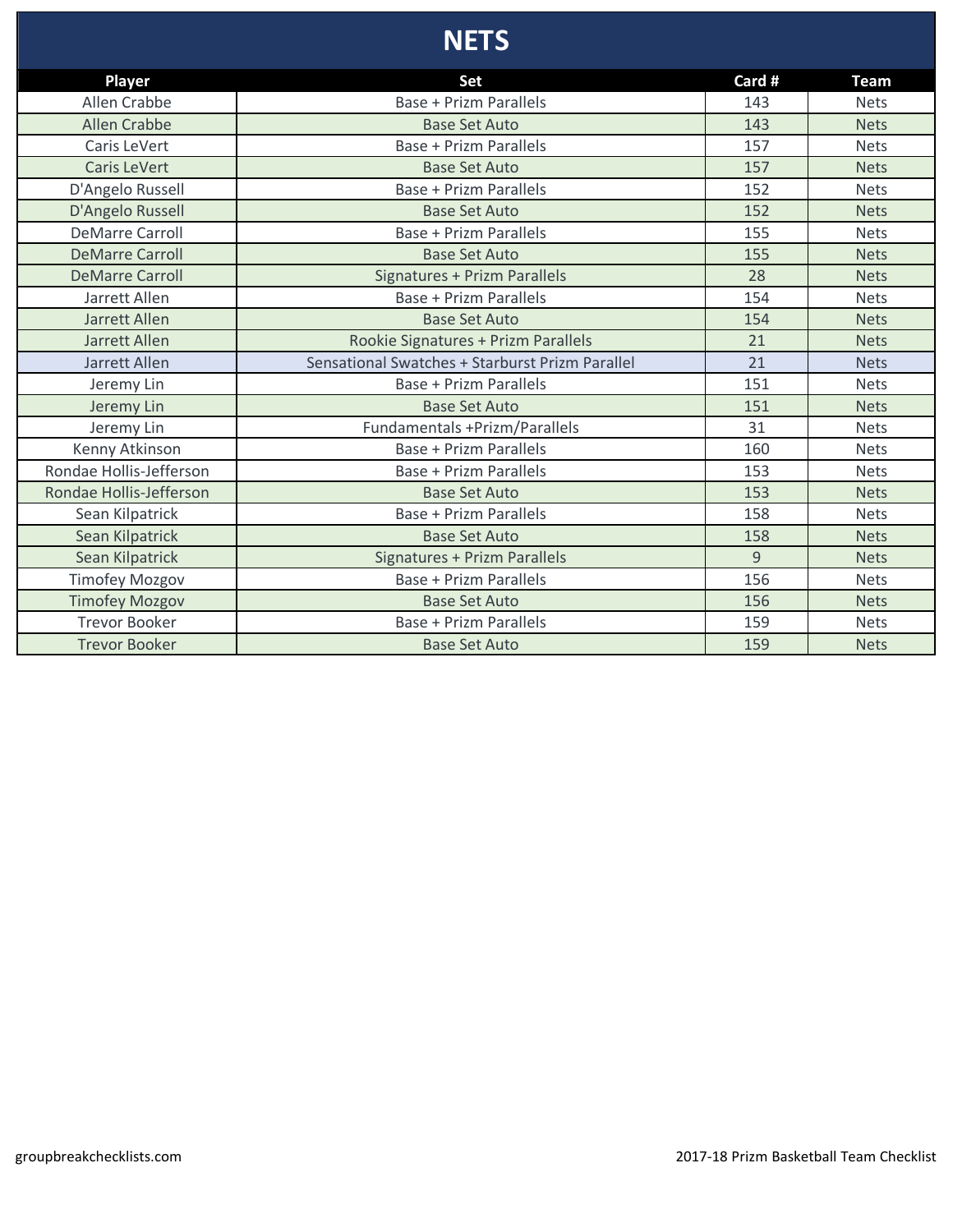## **NETS**

| <b>Player</b>           | Set                                             | Card # | <b>Team</b> |
|-------------------------|-------------------------------------------------|--------|-------------|
| Allen Crabbe            | <b>Base + Prizm Parallels</b>                   | 143    | <b>Nets</b> |
| <b>Allen Crabbe</b>     | <b>Base Set Auto</b>                            | 143    | <b>Nets</b> |
| Caris LeVert            | Base + Prizm Parallels                          | 157    | <b>Nets</b> |
| <b>Caris LeVert</b>     | <b>Base Set Auto</b>                            | 157    | <b>Nets</b> |
| D'Angelo Russell        | <b>Base + Prizm Parallels</b>                   | 152    | <b>Nets</b> |
| D'Angelo Russell        | <b>Base Set Auto</b>                            | 152    | <b>Nets</b> |
| <b>DeMarre Carroll</b>  | <b>Base + Prizm Parallels</b>                   | 155    | <b>Nets</b> |
| <b>DeMarre Carroll</b>  | <b>Base Set Auto</b>                            | 155    | <b>Nets</b> |
| <b>DeMarre Carroll</b>  | Signatures + Prizm Parallels                    | 28     | <b>Nets</b> |
| Jarrett Allen           | Base + Prizm Parallels                          | 154    | <b>Nets</b> |
| Jarrett Allen           | <b>Base Set Auto</b>                            | 154    | <b>Nets</b> |
| Jarrett Allen           | Rookie Signatures + Prizm Parallels             | 21     | <b>Nets</b> |
| Jarrett Allen           | Sensational Swatches + Starburst Prizm Parallel | 21     | <b>Nets</b> |
| Jeremy Lin              | <b>Base + Prizm Parallels</b>                   | 151    | <b>Nets</b> |
| Jeremy Lin              | <b>Base Set Auto</b>                            | 151    | <b>Nets</b> |
| Jeremy Lin              | Fundamentals +Prizm/Parallels                   | 31     | <b>Nets</b> |
| Kenny Atkinson          | Base + Prizm Parallels                          | 160    | <b>Nets</b> |
| Rondae Hollis-Jefferson | <b>Base + Prizm Parallels</b>                   | 153    | <b>Nets</b> |
| Rondae Hollis-Jefferson | <b>Base Set Auto</b>                            | 153    | <b>Nets</b> |
| Sean Kilpatrick         | <b>Base + Prizm Parallels</b>                   | 158    | <b>Nets</b> |
| Sean Kilpatrick         | <b>Base Set Auto</b>                            | 158    | <b>Nets</b> |
| Sean Kilpatrick         | Signatures + Prizm Parallels                    | 9      | <b>Nets</b> |
| <b>Timofey Mozgov</b>   | <b>Base + Prizm Parallels</b>                   | 156    | <b>Nets</b> |
| <b>Timofey Mozgov</b>   | <b>Base Set Auto</b>                            | 156    | <b>Nets</b> |
| <b>Trevor Booker</b>    | Base + Prizm Parallels                          | 159    | <b>Nets</b> |
| <b>Trevor Booker</b>    | <b>Base Set Auto</b>                            | 159    | <b>Nets</b> |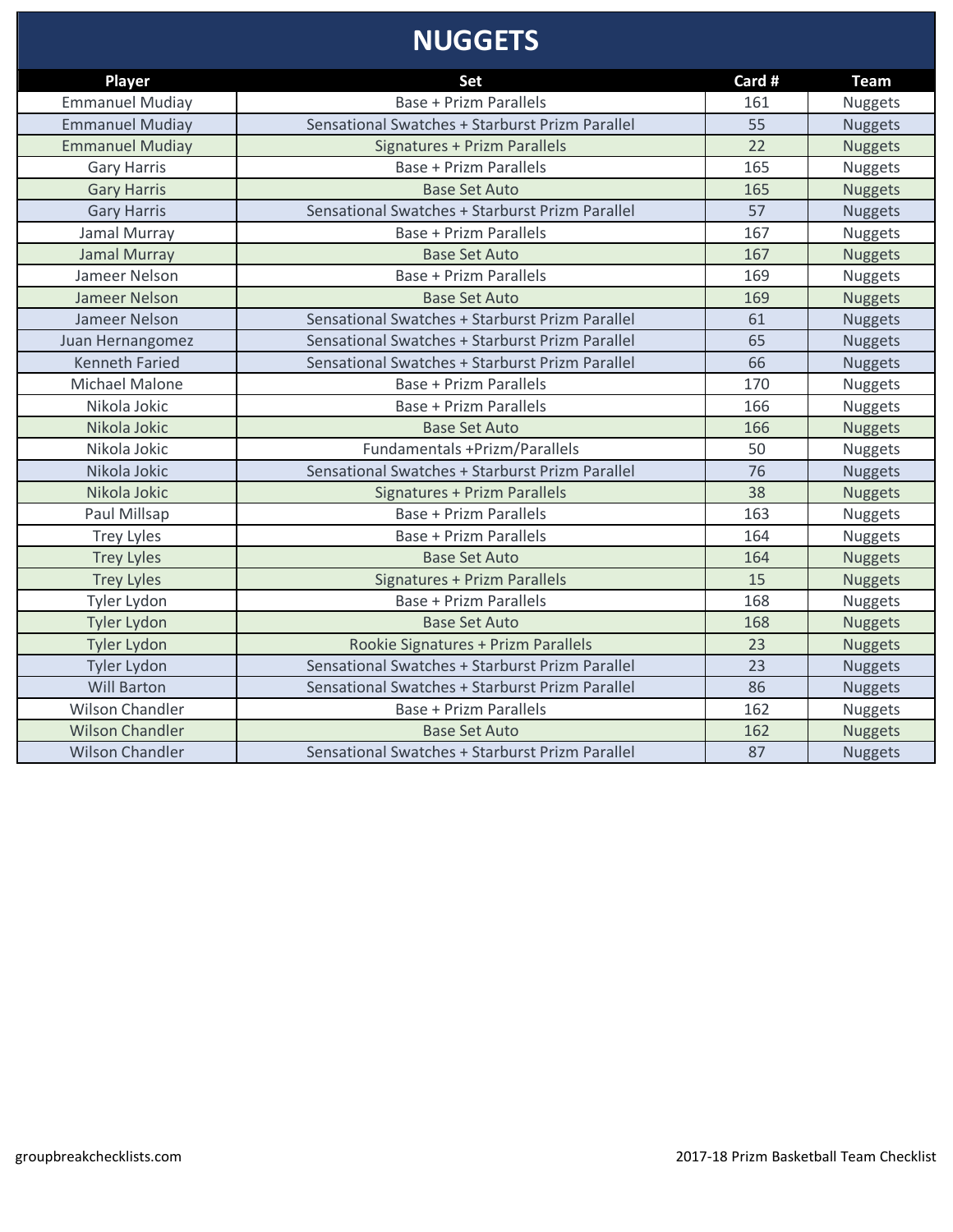## **NUGGETS**

| <b>Player</b>          | <b>Set</b>                                      | Card # | <b>Team</b>    |
|------------------------|-------------------------------------------------|--------|----------------|
| <b>Emmanuel Mudiay</b> | <b>Base + Prizm Parallels</b>                   | 161    | <b>Nuggets</b> |
| <b>Emmanuel Mudiay</b> | Sensational Swatches + Starburst Prizm Parallel | 55     | <b>Nuggets</b> |
| <b>Emmanuel Mudiay</b> | <b>Signatures + Prizm Parallels</b>             | 22     | <b>Nuggets</b> |
| <b>Gary Harris</b>     | <b>Base + Prizm Parallels</b>                   | 165    | <b>Nuggets</b> |
| <b>Gary Harris</b>     | <b>Base Set Auto</b>                            | 165    | <b>Nuggets</b> |
| <b>Gary Harris</b>     | Sensational Swatches + Starburst Prizm Parallel | 57     | <b>Nuggets</b> |
| Jamal Murray           | <b>Base + Prizm Parallels</b>                   | 167    | Nuggets        |
| Jamal Murray           | <b>Base Set Auto</b>                            | 167    | <b>Nuggets</b> |
| Jameer Nelson          | <b>Base + Prizm Parallels</b>                   | 169    | Nuggets        |
| Jameer Nelson          | <b>Base Set Auto</b>                            | 169    | <b>Nuggets</b> |
| Jameer Nelson          | Sensational Swatches + Starburst Prizm Parallel | 61     | <b>Nuggets</b> |
| Juan Hernangomez       | Sensational Swatches + Starburst Prizm Parallel | 65     | <b>Nuggets</b> |
| <b>Kenneth Faried</b>  | Sensational Swatches + Starburst Prizm Parallel | 66     | <b>Nuggets</b> |
| <b>Michael Malone</b>  | <b>Base + Prizm Parallels</b>                   | 170    | Nuggets        |
| Nikola Jokic           | <b>Base + Prizm Parallels</b>                   | 166    | <b>Nuggets</b> |
| Nikola Jokic           | <b>Base Set Auto</b>                            | 166    | <b>Nuggets</b> |
| Nikola Jokic           | Fundamentals +Prizm/Parallels                   | 50     | Nuggets        |
| Nikola Jokic           | Sensational Swatches + Starburst Prizm Parallel | 76     | <b>Nuggets</b> |
| Nikola Jokic           | Signatures + Prizm Parallels                    | 38     | <b>Nuggets</b> |
| Paul Millsap           | <b>Base + Prizm Parallels</b>                   | 163    | <b>Nuggets</b> |
| <b>Trey Lyles</b>      | <b>Base + Prizm Parallels</b>                   | 164    | Nuggets        |
| <b>Trey Lyles</b>      | <b>Base Set Auto</b>                            | 164    | <b>Nuggets</b> |
| <b>Trey Lyles</b>      | Signatures + Prizm Parallels                    | 15     | <b>Nuggets</b> |
| Tyler Lydon            | <b>Base + Prizm Parallels</b>                   | 168    | Nuggets        |
| <b>Tyler Lydon</b>     | <b>Base Set Auto</b>                            | 168    | <b>Nuggets</b> |
| <b>Tyler Lydon</b>     | Rookie Signatures + Prizm Parallels             | 23     | <b>Nuggets</b> |
| Tyler Lydon            | Sensational Swatches + Starburst Prizm Parallel | 23     | <b>Nuggets</b> |
| <b>Will Barton</b>     | Sensational Swatches + Starburst Prizm Parallel | 86     | <b>Nuggets</b> |
| <b>Wilson Chandler</b> | <b>Base + Prizm Parallels</b>                   | 162    | Nuggets        |
| <b>Wilson Chandler</b> | <b>Base Set Auto</b>                            | 162    | <b>Nuggets</b> |
| <b>Wilson Chandler</b> | Sensational Swatches + Starburst Prizm Parallel | 87     | <b>Nuggets</b> |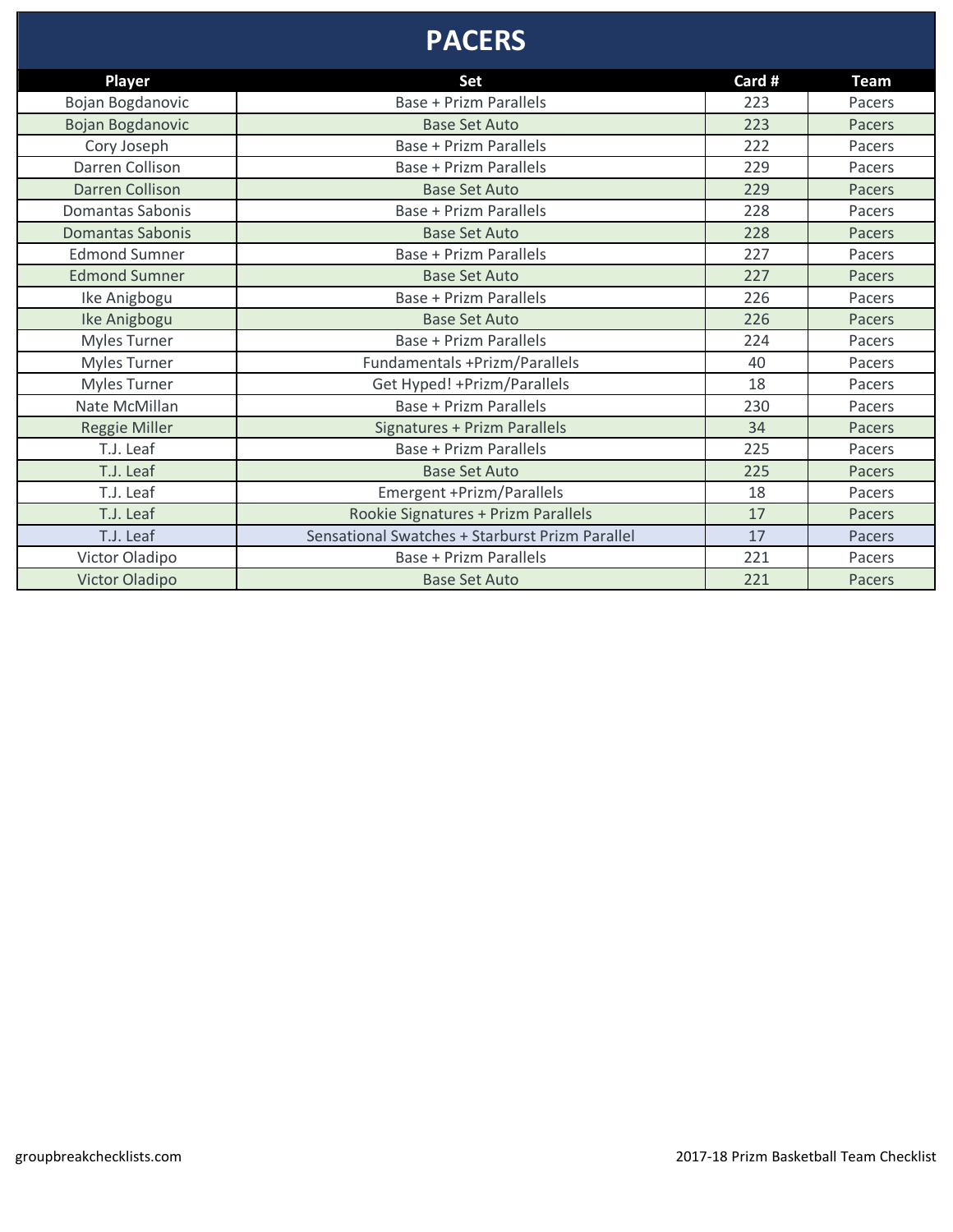### **PACERS**

| Player                  | Set                                             | Card # | <b>Team</b> |
|-------------------------|-------------------------------------------------|--------|-------------|
| Bojan Bogdanovic        | Base + Prizm Parallels                          | 223    | Pacers      |
| Bojan Bogdanovic        | <b>Base Set Auto</b>                            | 223    | Pacers      |
| Cory Joseph             | <b>Base + Prizm Parallels</b>                   | 222    | Pacers      |
| Darren Collison         | <b>Base + Prizm Parallels</b>                   | 229    | Pacers      |
| <b>Darren Collison</b>  | <b>Base Set Auto</b>                            | 229    | Pacers      |
| Domantas Sabonis        | Base + Prizm Parallels                          | 228    | Pacers      |
| <b>Domantas Sabonis</b> | <b>Base Set Auto</b>                            | 228    | Pacers      |
| <b>Edmond Sumner</b>    | Base + Prizm Parallels                          | 227    | Pacers      |
| <b>Edmond Sumner</b>    | <b>Base Set Auto</b>                            | 227    | Pacers      |
| Ike Anigbogu            | Base + Prizm Parallels                          | 226    | Pacers      |
| Ike Anigbogu            | <b>Base Set Auto</b>                            | 226    | Pacers      |
| <b>Myles Turner</b>     | Base + Prizm Parallels                          | 224    | Pacers      |
| <b>Myles Turner</b>     | Fundamentals +Prizm/Parallels                   | 40     | Pacers      |
| <b>Myles Turner</b>     | Get Hyped! + Prizm/Parallels                    | 18     | Pacers      |
| Nate McMillan           | <b>Base + Prizm Parallels</b>                   | 230    | Pacers      |
| <b>Reggie Miller</b>    | Signatures + Prizm Parallels                    | 34     | Pacers      |
| T.J. Leaf               | Base + Prizm Parallels                          | 225    | Pacers      |
| T.J. Leaf               | <b>Base Set Auto</b>                            | 225    | Pacers      |
| T.J. Leaf               | Emergent +Prizm/Parallels                       | 18     | Pacers      |
| T.J. Leaf               | Rookie Signatures + Prizm Parallels             | 17     | Pacers      |
| T.J. Leaf               | Sensational Swatches + Starburst Prizm Parallel | 17     | Pacers      |
| Victor Oladipo          | Base + Prizm Parallels                          | 221    | Pacers      |
| <b>Victor Oladipo</b>   | <b>Base Set Auto</b>                            | 221    | Pacers      |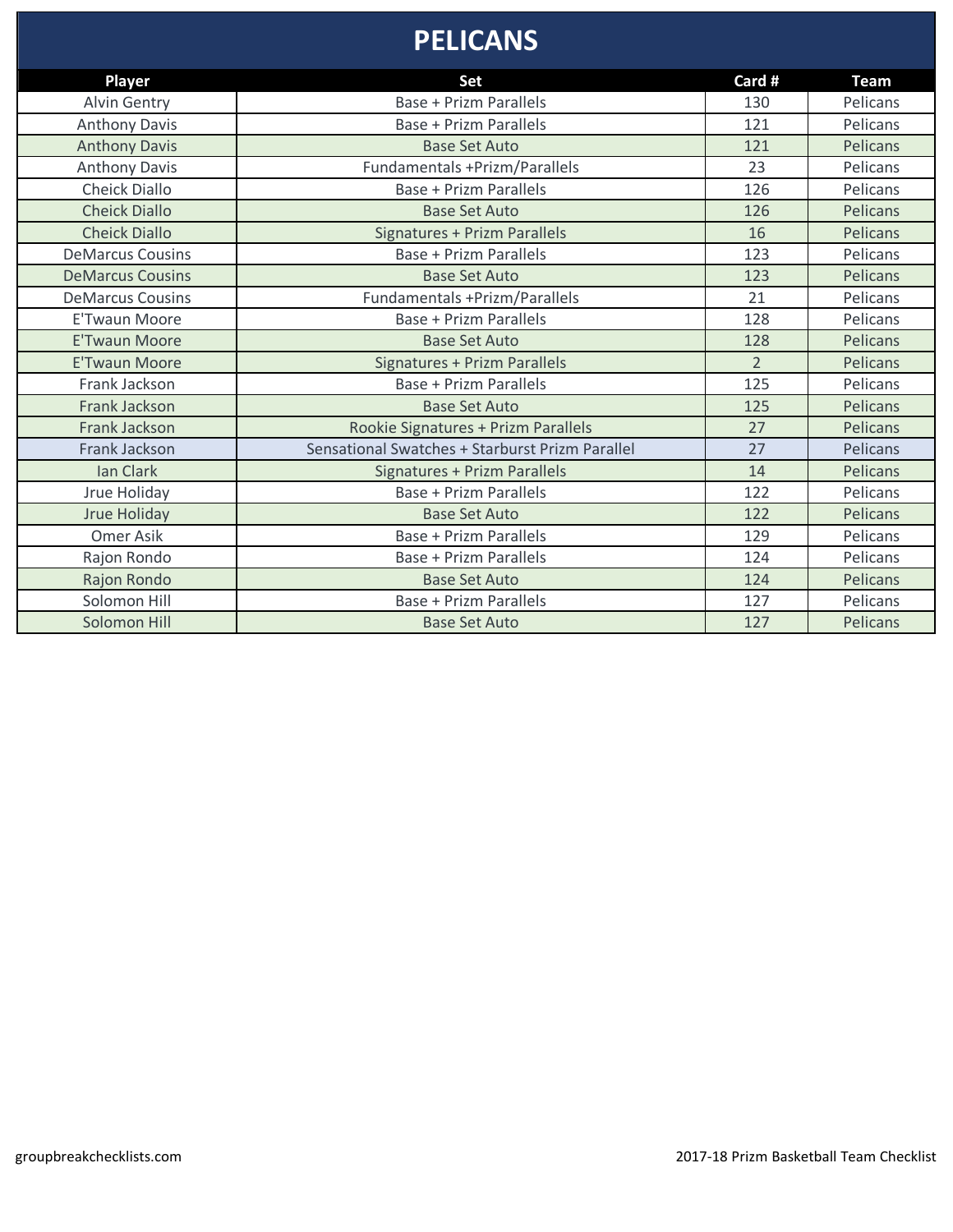#### **PELICANS**

| Player                  | Set                                             | Card #         | <b>Team</b>     |
|-------------------------|-------------------------------------------------|----------------|-----------------|
| <b>Alvin Gentry</b>     | <b>Base + Prizm Parallels</b>                   | 130            | Pelicans        |
| <b>Anthony Davis</b>    | <b>Base + Prizm Parallels</b>                   | 121            | Pelicans        |
| <b>Anthony Davis</b>    | <b>Base Set Auto</b>                            | 121            | Pelicans        |
| <b>Anthony Davis</b>    | Fundamentals +Prizm/Parallels                   | 23             | Pelicans        |
| <b>Cheick Diallo</b>    | Base + Prizm Parallels                          | 126            | Pelicans        |
| <b>Cheick Diallo</b>    | <b>Base Set Auto</b>                            | 126            | <b>Pelicans</b> |
| <b>Cheick Diallo</b>    | Signatures + Prizm Parallels                    | 16             | <b>Pelicans</b> |
| <b>DeMarcus Cousins</b> | <b>Base + Prizm Parallels</b>                   | 123            | Pelicans        |
| <b>DeMarcus Cousins</b> | <b>Base Set Auto</b>                            | 123            | Pelicans        |
| <b>DeMarcus Cousins</b> | <b>Fundamentals +Prizm/Parallels</b>            | 21             | Pelicans        |
| <b>E'Twaun Moore</b>    | Base + Prizm Parallels                          | 128            | Pelicans        |
| <b>E'Twaun Moore</b>    | <b>Base Set Auto</b>                            | 128            | Pelicans        |
| <b>E'Twaun Moore</b>    | Signatures + Prizm Parallels                    | $\overline{2}$ | Pelicans        |
| Frank Jackson           | <b>Base + Prizm Parallels</b>                   | 125            | Pelicans        |
| Frank Jackson           | <b>Base Set Auto</b>                            | 125            | Pelicans        |
| Frank Jackson           | Rookie Signatures + Prizm Parallels             | 27             | Pelicans        |
| Frank Jackson           | Sensational Swatches + Starburst Prizm Parallel | 27             | Pelicans        |
| Ian Clark               | Signatures + Prizm Parallels                    | 14             | Pelicans        |
| Jrue Holiday            | <b>Base + Prizm Parallels</b>                   | 122            | Pelicans        |
| <b>Jrue Holiday</b>     | <b>Base Set Auto</b>                            | 122            | Pelicans        |
| Omer Asik               | Base + Prizm Parallels                          | 129            | Pelicans        |
| Rajon Rondo             | <b>Base + Prizm Parallels</b>                   | 124            | Pelicans        |
| Rajon Rondo             | <b>Base Set Auto</b>                            | 124            | Pelicans        |
| Solomon Hill            | Base + Prizm Parallels                          | 127            | Pelicans        |
| Solomon Hill            | <b>Base Set Auto</b>                            | 127            | Pelicans        |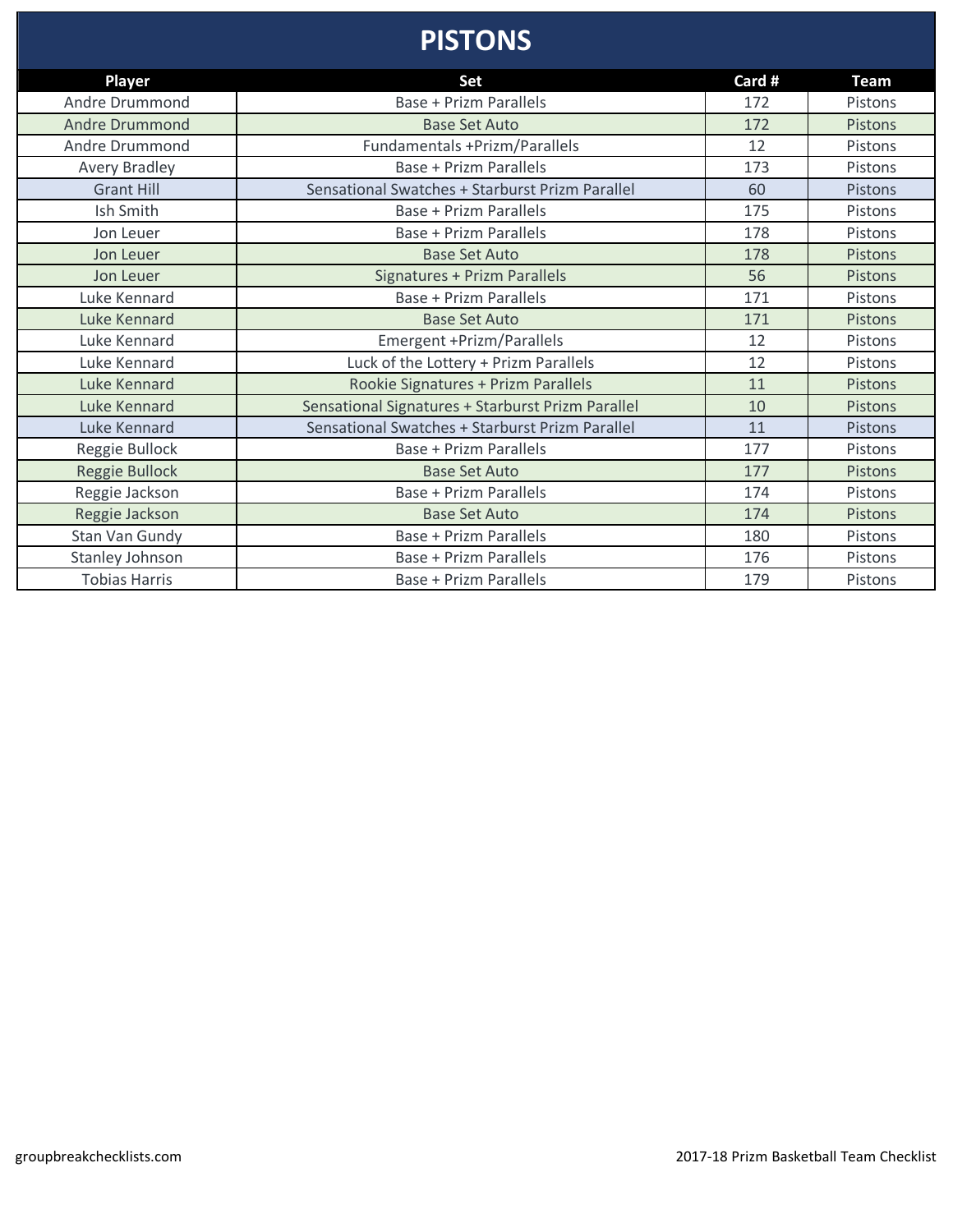#### **PISTONS**

| Player                | Set                                               | Card # | <b>Team</b>    |
|-----------------------|---------------------------------------------------|--------|----------------|
| Andre Drummond        | <b>Base + Prizm Parallels</b>                     | 172    | Pistons        |
| <b>Andre Drummond</b> | <b>Base Set Auto</b>                              | 172    | Pistons        |
| Andre Drummond        | Fundamentals +Prizm/Parallels                     | 12     | Pistons        |
| <b>Avery Bradley</b>  | <b>Base + Prizm Parallels</b>                     | 173    | Pistons        |
| <b>Grant Hill</b>     | Sensational Swatches + Starburst Prizm Parallel   | 60     | Pistons        |
| Ish Smith             | Base + Prizm Parallels                            | 175    | Pistons        |
| Jon Leuer             | <b>Base + Prizm Parallels</b>                     | 178    | Pistons        |
| Jon Leuer             | <b>Base Set Auto</b>                              | 178    | Pistons        |
| Jon Leuer             | Signatures + Prizm Parallels                      | 56     | Pistons        |
| Luke Kennard          | <b>Base + Prizm Parallels</b>                     | 171    | Pistons        |
| Luke Kennard          | <b>Base Set Auto</b>                              | 171    | <b>Pistons</b> |
| Luke Kennard          | Emergent +Prizm/Parallels                         | 12     | Pistons        |
| Luke Kennard          | Luck of the Lottery + Prizm Parallels             | 12     | Pistons        |
| Luke Kennard          | Rookie Signatures + Prizm Parallels               | 11     | <b>Pistons</b> |
| <b>Luke Kennard</b>   | Sensational Signatures + Starburst Prizm Parallel | 10     | Pistons        |
| Luke Kennard          | Sensational Swatches + Starburst Prizm Parallel   | 11     | Pistons        |
| Reggie Bullock        | Base + Prizm Parallels                            | 177    | Pistons        |
| <b>Reggie Bullock</b> | <b>Base Set Auto</b>                              | 177    | Pistons        |
| Reggie Jackson        | Base + Prizm Parallels                            | 174    | Pistons        |
| Reggie Jackson        | <b>Base Set Auto</b>                              | 174    | <b>Pistons</b> |
| Stan Van Gundy        | <b>Base + Prizm Parallels</b>                     | 180    | Pistons        |
| Stanley Johnson       | Base + Prizm Parallels                            | 176    | Pistons        |
| <b>Tobias Harris</b>  | Base + Prizm Parallels                            | 179    | Pistons        |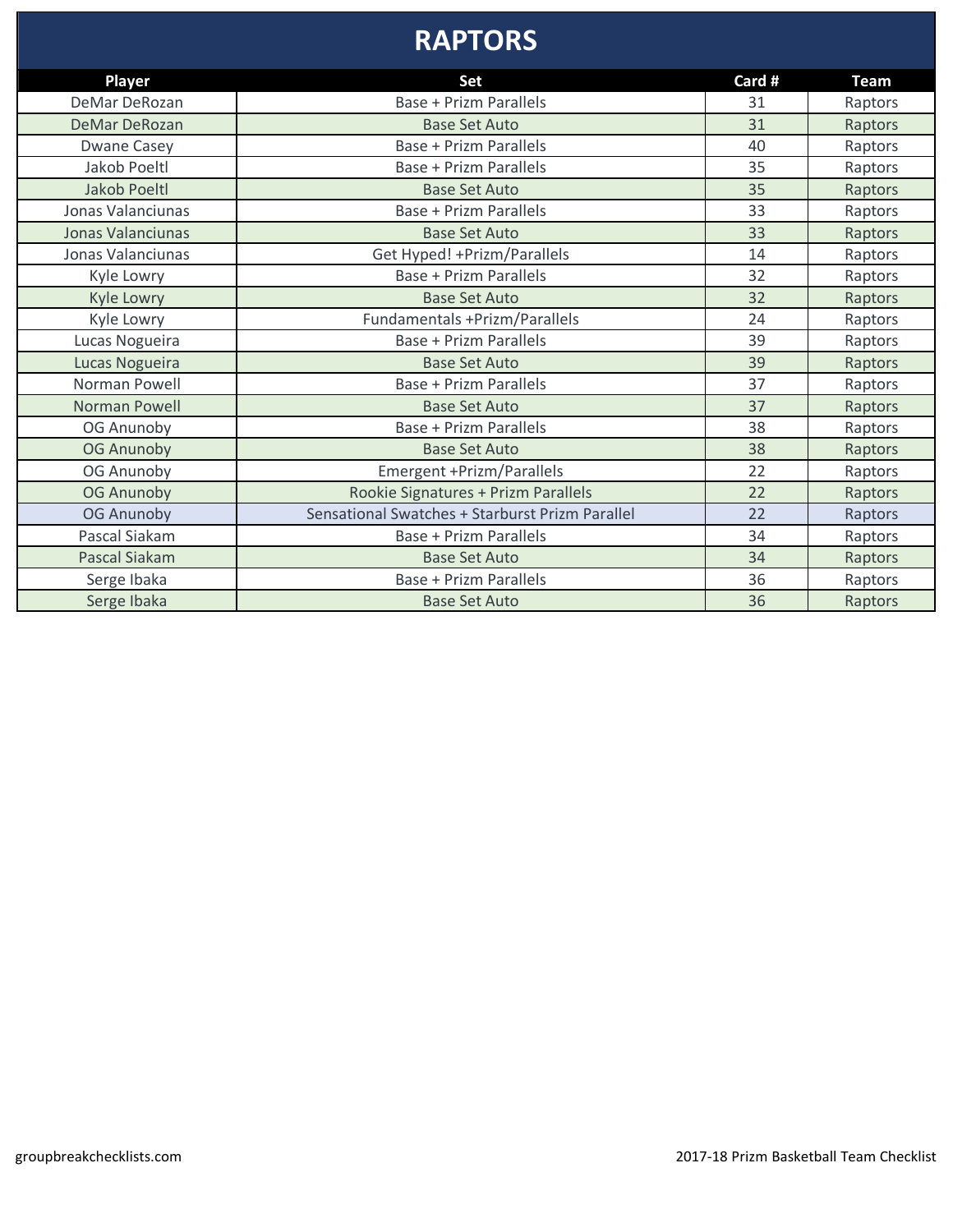#### **RAPTORS**

| Player                   | Set                                             | Card # | <b>Team</b> |
|--------------------------|-------------------------------------------------|--------|-------------|
| DeMar DeRozan            | <b>Base + Prizm Parallels</b>                   | 31     | Raptors     |
| DeMar DeRozan            | <b>Base Set Auto</b>                            | 31     | Raptors     |
| Dwane Casey              | Base + Prizm Parallels                          | 40     | Raptors     |
| Jakob Poeltl             | Base + Prizm Parallels                          | 35     | Raptors     |
| Jakob Poeltl             | <b>Base Set Auto</b>                            | 35     | Raptors     |
| Jonas Valanciunas        | <b>Base + Prizm Parallels</b>                   | 33     | Raptors     |
| <b>Jonas Valanciunas</b> | <b>Base Set Auto</b>                            | 33     | Raptors     |
| Jonas Valanciunas        | Get Hyped! + Prizm/Parallels                    | 14     | Raptors     |
| Kyle Lowry               | <b>Base + Prizm Parallels</b>                   | 32     | Raptors     |
| <b>Kyle Lowry</b>        | <b>Base Set Auto</b>                            | 32     | Raptors     |
| Kyle Lowry               | Fundamentals +Prizm/Parallels                   | 24     | Raptors     |
| Lucas Nogueira           | <b>Base + Prizm Parallels</b>                   | 39     | Raptors     |
| Lucas Nogueira           | <b>Base Set Auto</b>                            | 39     | Raptors     |
| Norman Powell            | Base + Prizm Parallels                          | 37     | Raptors     |
| Norman Powell            | <b>Base Set Auto</b>                            | 37     | Raptors     |
| OG Anunoby               | Base + Prizm Parallels                          | 38     | Raptors     |
| <b>OG Anunoby</b>        | <b>Base Set Auto</b>                            | 38     | Raptors     |
| OG Anunoby               | Emergent +Prizm/Parallels                       | 22     | Raptors     |
| <b>OG Anunoby</b>        | Rookie Signatures + Prizm Parallels             | 22     | Raptors     |
| OG Anunoby               | Sensational Swatches + Starburst Prizm Parallel | 22     | Raptors     |
| Pascal Siakam            | Base + Prizm Parallels                          | 34     | Raptors     |
| Pascal Siakam            | <b>Base Set Auto</b>                            | 34     | Raptors     |
| Serge Ibaka              | <b>Base + Prizm Parallels</b>                   | 36     | Raptors     |
| Serge Ibaka              | <b>Base Set Auto</b>                            | 36     | Raptors     |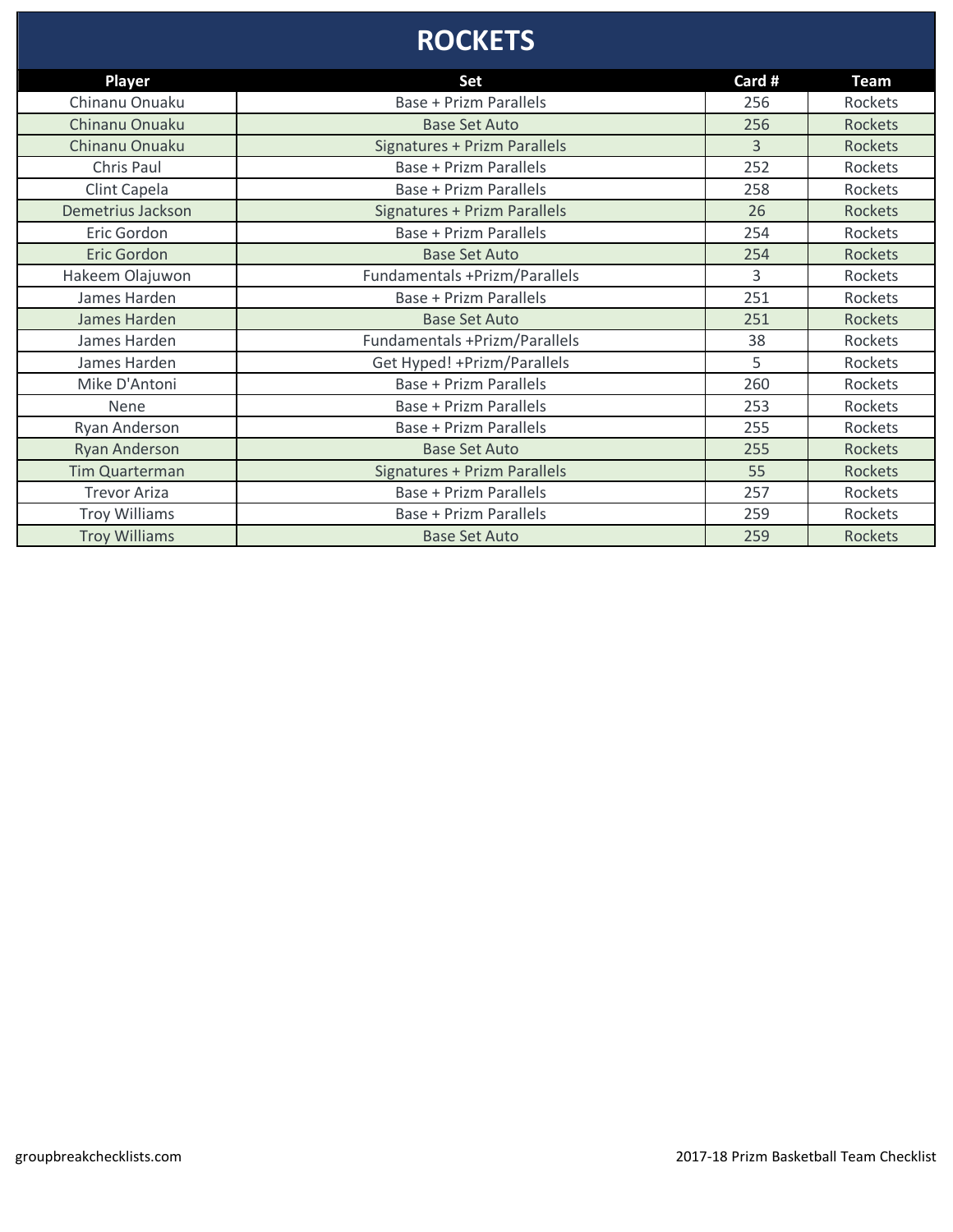# **ROCKETS**

| <b>Player</b>         | Set                                 | Card #         | <b>Team</b>    |
|-----------------------|-------------------------------------|----------------|----------------|
| Chinanu Onuaku        | <b>Base + Prizm Parallels</b>       | 256            | Rockets        |
| Chinanu Onuaku        | <b>Base Set Auto</b>                | 256            | <b>Rockets</b> |
| Chinanu Onuaku        | <b>Signatures + Prizm Parallels</b> | $\overline{3}$ | <b>Rockets</b> |
| Chris Paul            | <b>Base + Prizm Parallels</b>       | 252            | Rockets        |
| Clint Capela          | <b>Base + Prizm Parallels</b>       | 258            | Rockets        |
| Demetrius Jackson     | <b>Signatures + Prizm Parallels</b> | 26             | <b>Rockets</b> |
| Eric Gordon           | <b>Base + Prizm Parallels</b>       | 254            | Rockets        |
| Eric Gordon           | <b>Base Set Auto</b>                | 254            | <b>Rockets</b> |
| Hakeem Olajuwon       | Fundamentals +Prizm/Parallels       | 3              | Rockets        |
| James Harden          | <b>Base + Prizm Parallels</b>       | 251            | Rockets        |
| James Harden          | <b>Base Set Auto</b>                | 251            | <b>Rockets</b> |
| James Harden          | Fundamentals +Prizm/Parallels       | 38             | Rockets        |
| James Harden          | Get Hyped! + Prizm/Parallels        | 5              | Rockets        |
| Mike D'Antoni         | <b>Base + Prizm Parallels</b>       | 260            | Rockets        |
| Nene                  | <b>Base + Prizm Parallels</b>       | 253            | Rockets        |
| Ryan Anderson         | <b>Base + Prizm Parallels</b>       | 255            | Rockets        |
| <b>Ryan Anderson</b>  | <b>Base Set Auto</b>                | 255            | <b>Rockets</b> |
| <b>Tim Quarterman</b> | <b>Signatures + Prizm Parallels</b> | 55             | <b>Rockets</b> |
| <b>Trevor Ariza</b>   | Base + Prizm Parallels              | 257            | Rockets        |
| <b>Troy Williams</b>  | <b>Base + Prizm Parallels</b>       | 259            | Rockets        |
| <b>Troy Williams</b>  | <b>Base Set Auto</b>                | 259            | <b>Rockets</b> |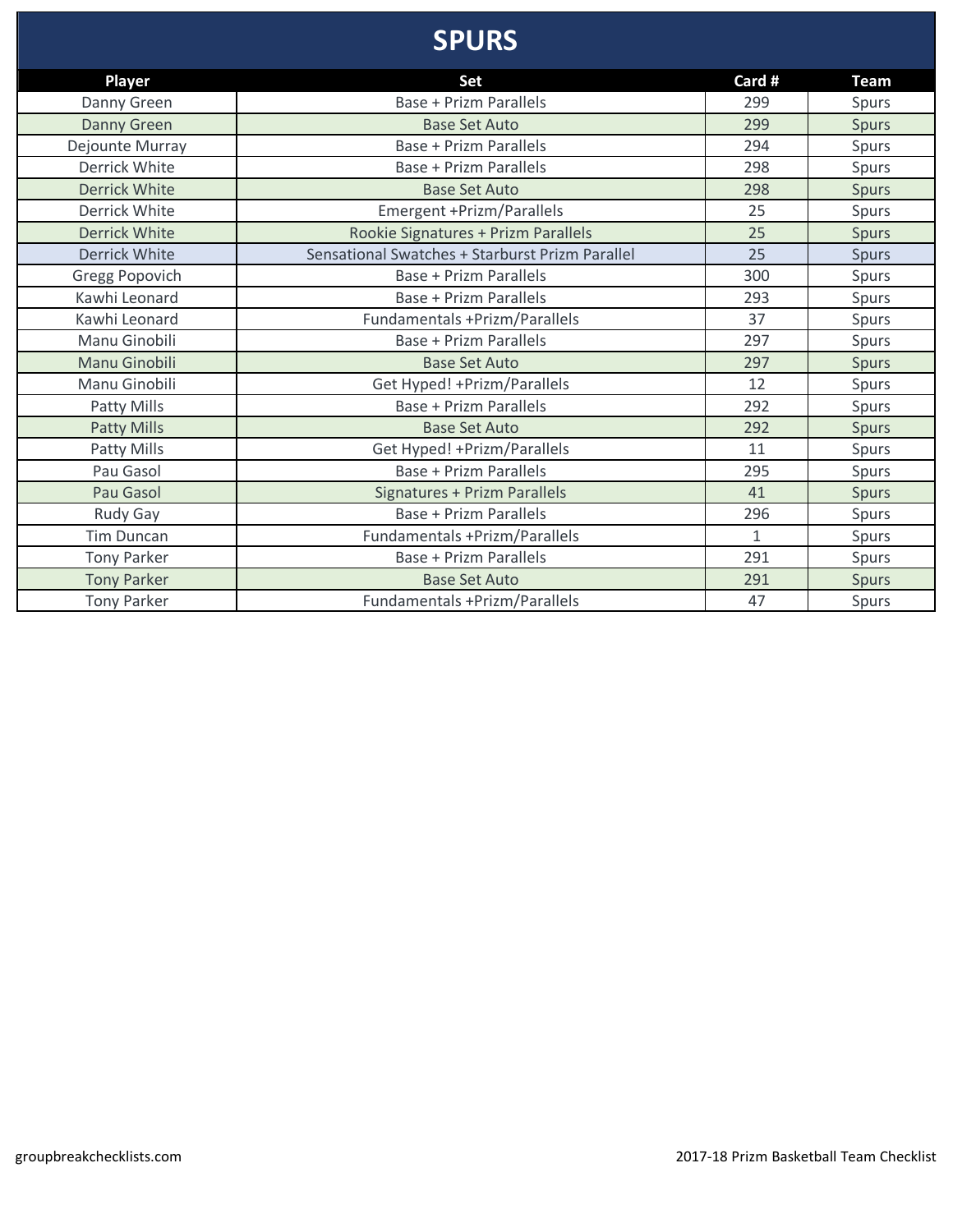# **SPURS**

| <b>Player</b>        | Set                                             | Card #       | <b>Team</b>  |
|----------------------|-------------------------------------------------|--------------|--------------|
| Danny Green          | <b>Base + Prizm Parallels</b>                   | 299          | Spurs        |
| Danny Green          | <b>Base Set Auto</b>                            | 299          | <b>Spurs</b> |
| Dejounte Murray      | Base + Prizm Parallels                          | 294          | Spurs        |
| Derrick White        | <b>Base + Prizm Parallels</b>                   | 298          | Spurs        |
| <b>Derrick White</b> | <b>Base Set Auto</b>                            | 298          | <b>Spurs</b> |
| Derrick White        | Emergent +Prizm/Parallels                       | 25           | Spurs        |
| <b>Derrick White</b> | Rookie Signatures + Prizm Parallels             | 25           | <b>Spurs</b> |
| <b>Derrick White</b> | Sensational Swatches + Starburst Prizm Parallel | 25           | <b>Spurs</b> |
| Gregg Popovich       | <b>Base + Prizm Parallels</b>                   | 300          | Spurs        |
| Kawhi Leonard        | <b>Base + Prizm Parallels</b>                   | 293          | Spurs        |
| Kawhi Leonard        | Fundamentals +Prizm/Parallels                   | 37           | Spurs        |
| Manu Ginobili        | Base + Prizm Parallels                          | 297          | Spurs        |
| Manu Ginobili        | <b>Base Set Auto</b>                            | 297          | <b>Spurs</b> |
| Manu Ginobili        | Get Hyped! + Prizm/Parallels                    | 12           | Spurs        |
| Patty Mills          | <b>Base + Prizm Parallels</b>                   | 292          | Spurs        |
| Patty Mills          | <b>Base Set Auto</b>                            | 292          | <b>Spurs</b> |
| Patty Mills          | Get Hyped! + Prizm/Parallels                    | 11           | Spurs        |
| Pau Gasol            | <b>Base + Prizm Parallels</b>                   | 295          | Spurs        |
| Pau Gasol            | Signatures + Prizm Parallels                    | 41           | <b>Spurs</b> |
| Rudy Gay             | <b>Base + Prizm Parallels</b>                   | 296          | Spurs        |
| <b>Tim Duncan</b>    | Fundamentals +Prizm/Parallels                   | $\mathbf{1}$ | Spurs        |
| <b>Tony Parker</b>   | <b>Base + Prizm Parallels</b>                   | 291          | Spurs        |
| <b>Tony Parker</b>   | <b>Base Set Auto</b>                            | 291          | <b>Spurs</b> |
| <b>Tony Parker</b>   | Fundamentals +Prizm/Parallels                   | 47           | Spurs        |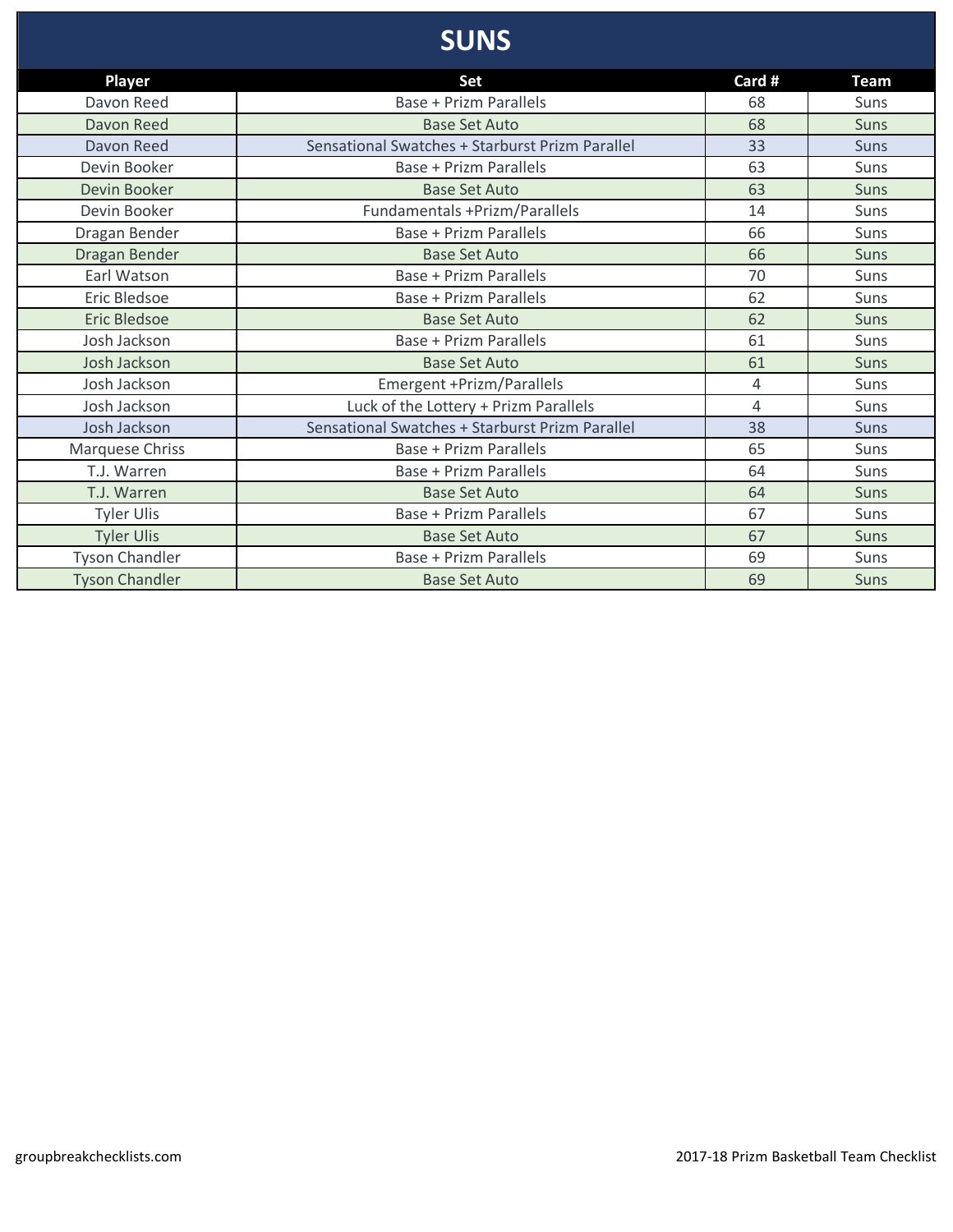# **SUNS**

| <b>Player</b>         | <b>Set</b>                                      | Card # | <b>Team</b> |
|-----------------------|-------------------------------------------------|--------|-------------|
| Davon Reed            | <b>Base + Prizm Parallels</b>                   | 68     | Suns        |
| Davon Reed            | <b>Base Set Auto</b>                            | 68     | Suns        |
| Davon Reed            | Sensational Swatches + Starburst Prizm Parallel | 33     | <b>Suns</b> |
| Devin Booker          | Base + Prizm Parallels                          | 63     | Suns        |
| Devin Booker          | <b>Base Set Auto</b>                            | 63     | <b>Suns</b> |
| Devin Booker          | Fundamentals +Prizm/Parallels                   | 14     | Suns        |
| Dragan Bender         | <b>Base + Prizm Parallels</b>                   | 66     | Suns        |
| Dragan Bender         | <b>Base Set Auto</b>                            | 66     | Suns        |
| Earl Watson           | <b>Base + Prizm Parallels</b>                   | 70     | Suns        |
| Eric Bledsoe          | <b>Base + Prizm Parallels</b>                   | 62     | Suns        |
| <b>Eric Bledsoe</b>   | <b>Base Set Auto</b>                            | 62     | <b>Suns</b> |
| Josh Jackson          | <b>Base + Prizm Parallels</b>                   | 61     | Suns        |
| Josh Jackson          | <b>Base Set Auto</b>                            | 61     | Suns        |
| Josh Jackson          | Emergent +Prizm/Parallels                       | 4      | Suns        |
| Josh Jackson          | Luck of the Lottery + Prizm Parallels           | 4      | Suns        |
| Josh Jackson          | Sensational Swatches + Starburst Prizm Parallel | 38     | Suns        |
| Marquese Chriss       | Base + Prizm Parallels                          | 65     | Suns        |
| T.J. Warren           | Base + Prizm Parallels                          | 64     | Suns        |
| T.J. Warren           | <b>Base Set Auto</b>                            | 64     | <b>Suns</b> |
| <b>Tyler Ulis</b>     | Base + Prizm Parallels                          | 67     | Suns        |
| <b>Tyler Ulis</b>     | <b>Base Set Auto</b>                            | 67     | <b>Suns</b> |
| <b>Tyson Chandler</b> | Base + Prizm Parallels                          | 69     | Suns        |
| <b>Tyson Chandler</b> | <b>Base Set Auto</b>                            | 69     | <b>Suns</b> |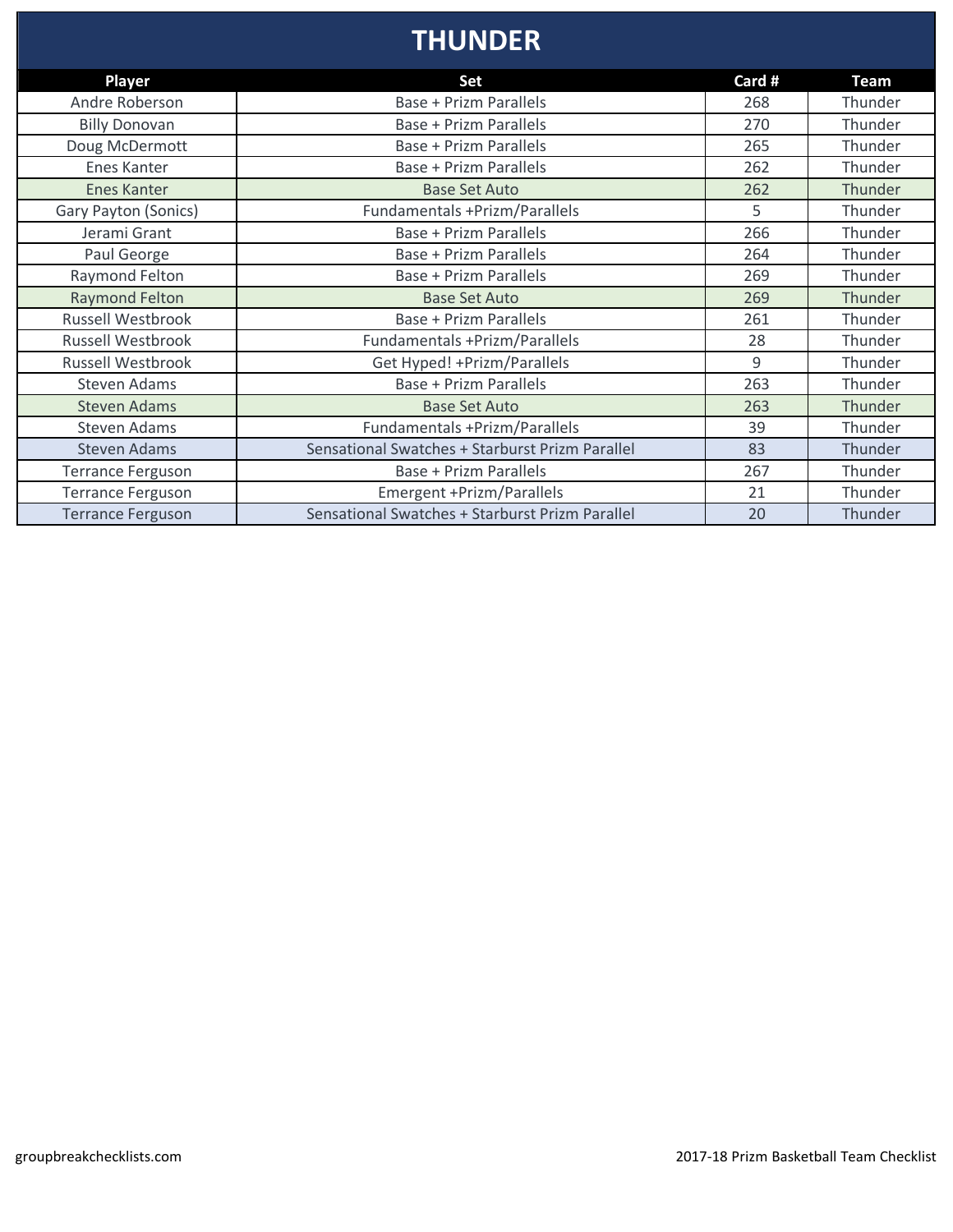### **THUNDER**

| <b>Player</b>            | Set                                             | Card # | Team    |
|--------------------------|-------------------------------------------------|--------|---------|
| Andre Roberson           | <b>Base + Prizm Parallels</b>                   | 268    | Thunder |
| <b>Billy Donovan</b>     | <b>Base + Prizm Parallels</b>                   | 270    | Thunder |
| Doug McDermott           | <b>Base + Prizm Parallels</b>                   | 265    | Thunder |
| Enes Kanter              | Base + Prizm Parallels                          | 262    | Thunder |
| <b>Enes Kanter</b>       | <b>Base Set Auto</b>                            | 262    | Thunder |
| Gary Payton (Sonics)     | Fundamentals +Prizm/Parallels                   | 5.     | Thunder |
| Jerami Grant             | <b>Base + Prizm Parallels</b>                   | 266    | Thunder |
| Paul George              | <b>Base + Prizm Parallels</b>                   | 264    | Thunder |
| Raymond Felton           | <b>Base + Prizm Parallels</b>                   | 269    | Thunder |
| <b>Raymond Felton</b>    | <b>Base Set Auto</b>                            | 269    | Thunder |
| Russell Westbrook        | <b>Base + Prizm Parallels</b>                   | 261    | Thunder |
| <b>Russell Westbrook</b> | Fundamentals +Prizm/Parallels                   | 28     | Thunder |
| <b>Russell Westbrook</b> | Get Hyped! + Prizm/Parallels                    | 9      | Thunder |
| <b>Steven Adams</b>      | <b>Base + Prizm Parallels</b>                   | 263    | Thunder |
| <b>Steven Adams</b>      | <b>Base Set Auto</b>                            | 263    | Thunder |
| <b>Steven Adams</b>      | Fundamentals +Prizm/Parallels                   | 39     | Thunder |
| <b>Steven Adams</b>      | Sensational Swatches + Starburst Prizm Parallel | 83     | Thunder |
| <b>Terrance Ferguson</b> | Base + Prizm Parallels                          | 267    | Thunder |
| <b>Terrance Ferguson</b> | Emergent +Prizm/Parallels                       | 21     | Thunder |
| <b>Terrance Ferguson</b> | Sensational Swatches + Starburst Prizm Parallel | 20     | Thunder |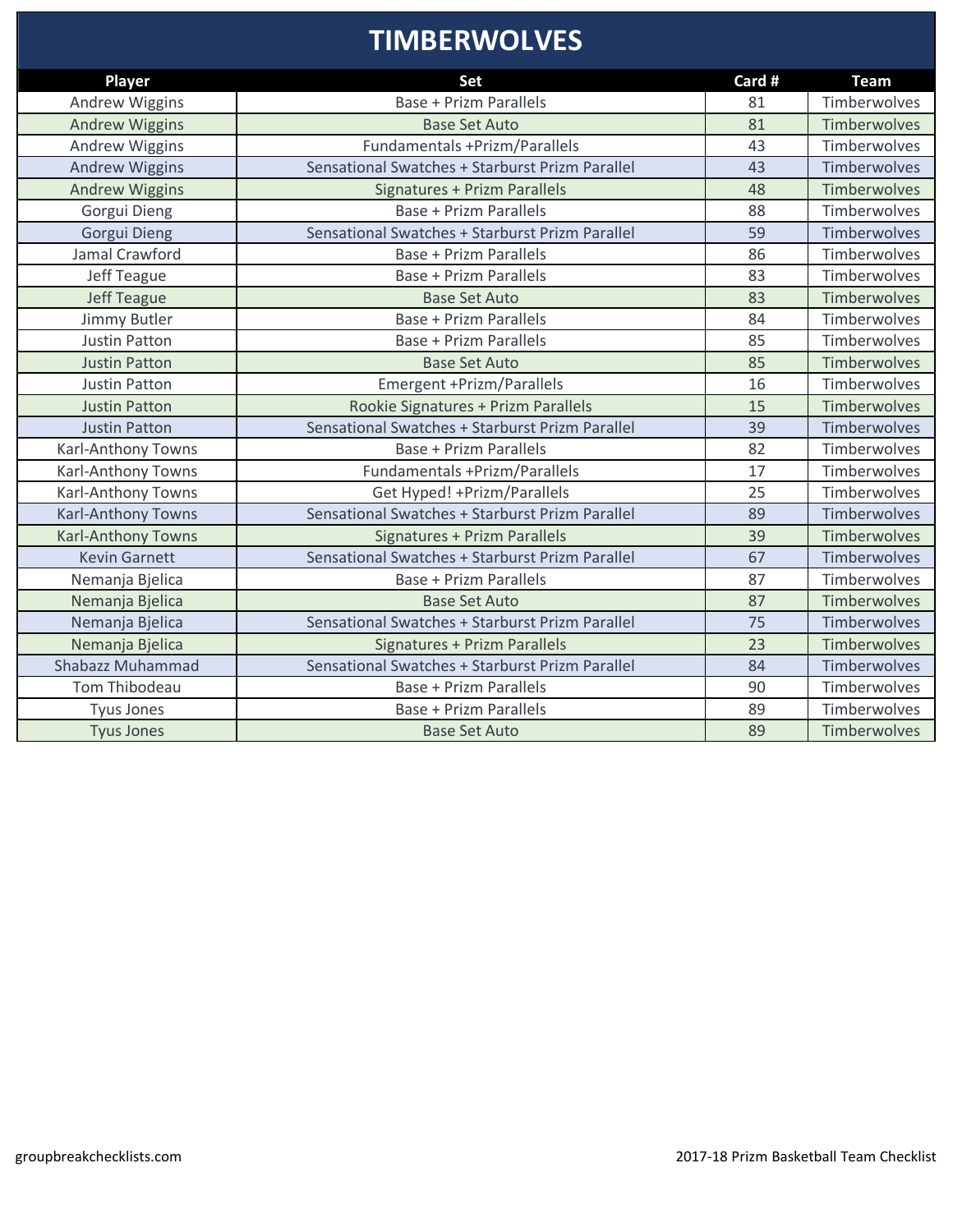# **TIMBERWOLVES**

| <b>Player</b>             | <b>Set</b>                                      | Card # | <b>Team</b>         |
|---------------------------|-------------------------------------------------|--------|---------------------|
| <b>Andrew Wiggins</b>     | <b>Base + Prizm Parallels</b>                   | 81     | Timberwolves        |
| <b>Andrew Wiggins</b>     | <b>Base Set Auto</b>                            | 81     | <b>Timberwolves</b> |
| <b>Andrew Wiggins</b>     | Fundamentals +Prizm/Parallels                   | 43     | Timberwolves        |
| <b>Andrew Wiggins</b>     | Sensational Swatches + Starburst Prizm Parallel | 43     | Timberwolves        |
| <b>Andrew Wiggins</b>     | <b>Signatures + Prizm Parallels</b>             | 48     | <b>Timberwolves</b> |
| Gorgui Dieng              | <b>Base + Prizm Parallels</b>                   | 88     | Timberwolves        |
| Gorgui Dieng              | Sensational Swatches + Starburst Prizm Parallel | 59     | Timberwolves        |
| Jamal Crawford            | <b>Base + Prizm Parallels</b>                   | 86     | Timberwolves        |
| Jeff Teague               | <b>Base + Prizm Parallels</b>                   | 83     | Timberwolves        |
| <b>Jeff Teague</b>        | <b>Base Set Auto</b>                            | 83     | <b>Timberwolves</b> |
| Jimmy Butler              | <b>Base + Prizm Parallels</b>                   | 84     | Timberwolves        |
| <b>Justin Patton</b>      | <b>Base + Prizm Parallels</b>                   | 85     | Timberwolves        |
| <b>Justin Patton</b>      | <b>Base Set Auto</b>                            | 85     | <b>Timberwolves</b> |
| <b>Justin Patton</b>      | Emergent +Prizm/Parallels                       | 16     | Timberwolves        |
| <b>Justin Patton</b>      | Rookie Signatures + Prizm Parallels             | 15     | Timberwolves        |
| <b>Justin Patton</b>      | Sensational Swatches + Starburst Prizm Parallel | 39     | Timberwolves        |
| Karl-Anthony Towns        | <b>Base + Prizm Parallels</b>                   | 82     | Timberwolves        |
| <b>Karl-Anthony Towns</b> | <b>Fundamentals +Prizm/Parallels</b>            | 17     | Timberwolves        |
| Karl-Anthony Towns        | Get Hyped! + Prizm/Parallels                    | 25     | Timberwolves        |
| <b>Karl-Anthony Towns</b> | Sensational Swatches + Starburst Prizm Parallel | 89     | Timberwolves        |
| <b>Karl-Anthony Towns</b> | <b>Signatures + Prizm Parallels</b>             | 39     | <b>Timberwolves</b> |
| <b>Kevin Garnett</b>      | Sensational Swatches + Starburst Prizm Parallel | 67     | Timberwolves        |
| Nemanja Bjelica           | <b>Base + Prizm Parallels</b>                   | 87     | Timberwolves        |
| Nemanja Bjelica           | <b>Base Set Auto</b>                            | 87     | Timberwolves        |
| Nemanja Bjelica           | Sensational Swatches + Starburst Prizm Parallel | 75     | Timberwolves        |
| Nemanja Bjelica           | Signatures + Prizm Parallels                    | 23     | Timberwolves        |
| Shabazz Muhammad          | Sensational Swatches + Starburst Prizm Parallel | 84     | Timberwolves        |
| <b>Tom Thibodeau</b>      | <b>Base + Prizm Parallels</b>                   | 90     | Timberwolves        |
| <b>Tyus Jones</b>         | <b>Base + Prizm Parallels</b>                   | 89     | Timberwolves        |
| <b>Tyus Jones</b>         | <b>Base Set Auto</b>                            | 89     | Timberwolves        |
|                           |                                                 |        |                     |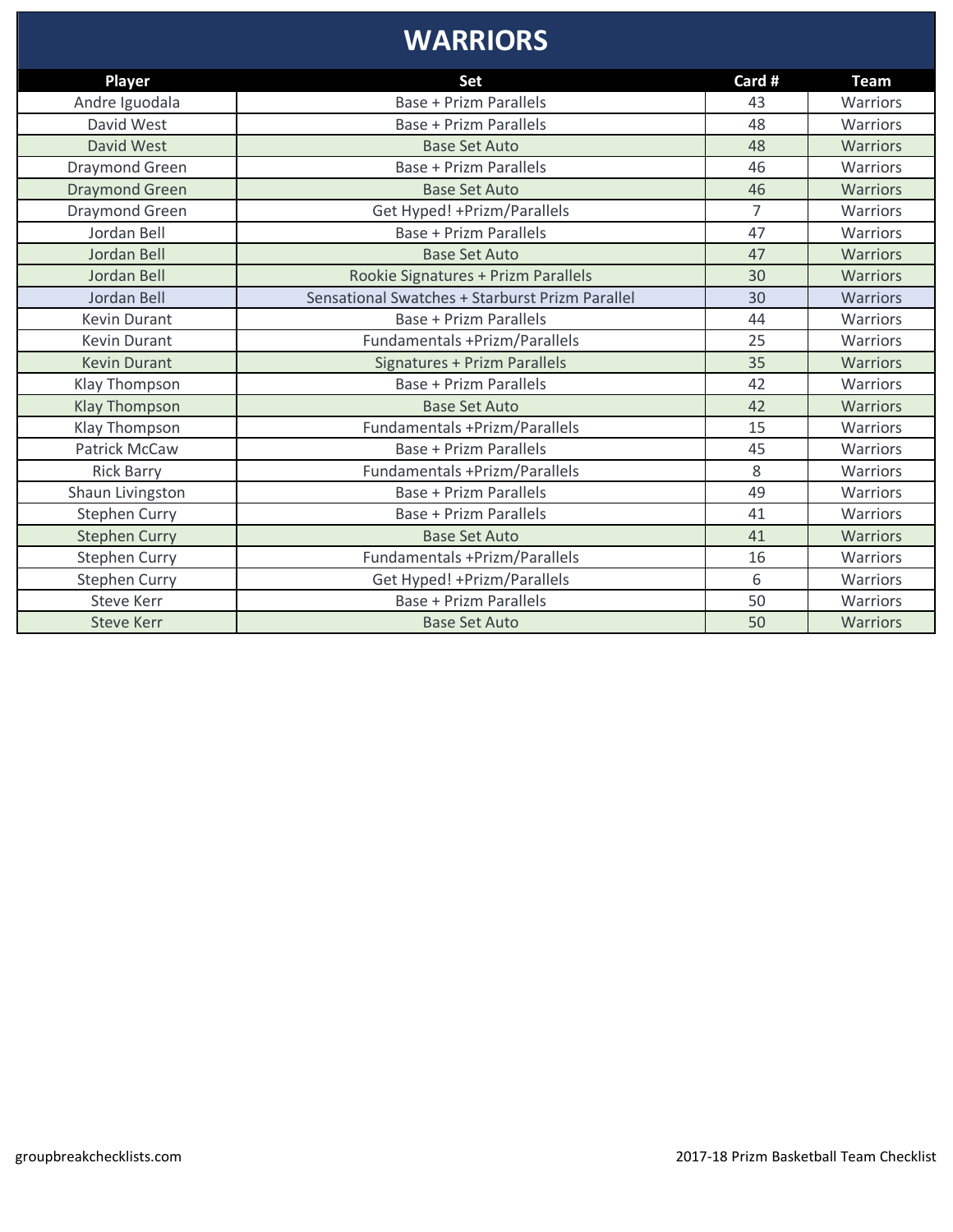#### **WARRIORS**

| Player                | Set                                             | Card #         | <b>Team</b>     |
|-----------------------|-------------------------------------------------|----------------|-----------------|
| Andre Iguodala        | Base + Prizm Parallels                          | 43             | Warriors        |
| David West            | Base + Prizm Parallels                          | 48             | Warriors        |
| David West            | <b>Base Set Auto</b>                            | 48             | Warriors        |
| Draymond Green        | Base + Prizm Parallels                          | 46             | Warriors        |
| <b>Draymond Green</b> | <b>Base Set Auto</b>                            | 46             | <b>Warriors</b> |
| Draymond Green        | Get Hyped! + Prizm/Parallels                    | $\overline{7}$ | Warriors        |
| Jordan Bell           | <b>Base + Prizm Parallels</b>                   | 47             | Warriors        |
| Jordan Bell           | <b>Base Set Auto</b>                            | 47             | Warriors        |
| Jordan Bell           | Rookie Signatures + Prizm Parallels             | 30             | <b>Warriors</b> |
| Jordan Bell           | Sensational Swatches + Starburst Prizm Parallel | 30             | Warriors        |
| <b>Kevin Durant</b>   | Base + Prizm Parallels                          | 44             | Warriors        |
| <b>Kevin Durant</b>   | Fundamentals +Prizm/Parallels                   | 25             | Warriors        |
| <b>Kevin Durant</b>   | Signatures + Prizm Parallels                    | 35             | Warriors        |
| Klay Thompson         | <b>Base + Prizm Parallels</b>                   | 42             | Warriors        |
| <b>Klay Thompson</b>  | <b>Base Set Auto</b>                            | 42             | <b>Warriors</b> |
| Klay Thompson         | <b>Fundamentals +Prizm/Parallels</b>            | 15             | Warriors        |
| <b>Patrick McCaw</b>  | Base + Prizm Parallels                          | 45             | Warriors        |
| <b>Rick Barry</b>     | Fundamentals +Prizm/Parallels                   | 8              | Warriors        |
| Shaun Livingston      | <b>Base + Prizm Parallels</b>                   | 49             | Warriors        |
| <b>Stephen Curry</b>  | Base + Prizm Parallels                          | 41             | Warriors        |
| <b>Stephen Curry</b>  | <b>Base Set Auto</b>                            | 41             | <b>Warriors</b> |
| <b>Stephen Curry</b>  | Fundamentals +Prizm/Parallels                   | 16             | Warriors        |
| <b>Stephen Curry</b>  | Get Hyped! + Prizm/Parallels                    | 6              | Warriors        |
| <b>Steve Kerr</b>     | <b>Base + Prizm Parallels</b>                   | 50             | Warriors        |
| <b>Steve Kerr</b>     | <b>Base Set Auto</b>                            | 50             | <b>Warriors</b> |